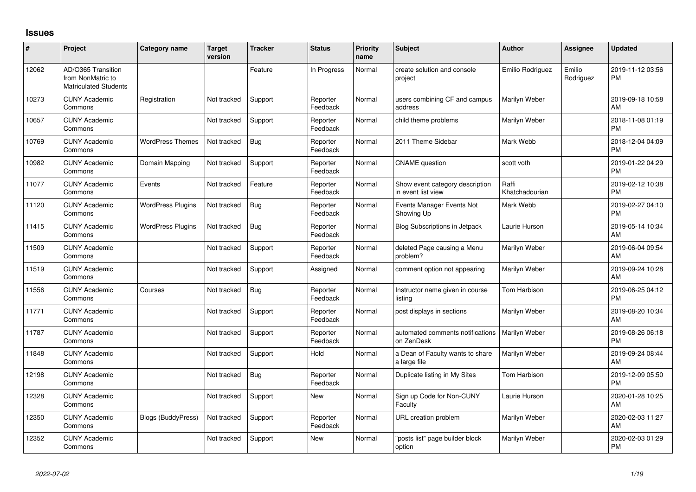## **Issues**

| #     | Project                                                                 | <b>Category name</b>      | <b>Target</b><br>version | <b>Tracker</b> | <b>Status</b>        | <b>Priority</b><br>name | <b>Subject</b>                                        | <b>Author</b>           | <b>Assignee</b>     | <b>Updated</b>                |
|-------|-------------------------------------------------------------------------|---------------------------|--------------------------|----------------|----------------------|-------------------------|-------------------------------------------------------|-------------------------|---------------------|-------------------------------|
| 12062 | AD/O365 Transition<br>from NonMatric to<br><b>Matriculated Students</b> |                           |                          | Feature        | In Progress          | Normal                  | create solution and console<br>project                | Emilio Rodriguez        | Emilio<br>Rodriguez | 2019-11-12 03:56<br><b>PM</b> |
| 10273 | <b>CUNY Academic</b><br>Commons                                         | Registration              | Not tracked              | Support        | Reporter<br>Feedback | Normal                  | users combining CF and campus<br>address              | Marilyn Weber           |                     | 2019-09-18 10:58<br>AM        |
| 10657 | <b>CUNY Academic</b><br>Commons                                         |                           | Not tracked              | Support        | Reporter<br>Feedback | Normal                  | child theme problems                                  | Marilyn Weber           |                     | 2018-11-08 01:19<br><b>PM</b> |
| 10769 | <b>CUNY Academic</b><br>Commons                                         | <b>WordPress Themes</b>   | Not tracked              | Bug            | Reporter<br>Feedback | Normal                  | 2011 Theme Sidebar                                    | Mark Webb               |                     | 2018-12-04 04:09<br><b>PM</b> |
| 10982 | <b>CUNY Academic</b><br>Commons                                         | Domain Mapping            | Not tracked              | Support        | Reporter<br>Feedback | Normal                  | <b>CNAME</b> question                                 | scott voth              |                     | 2019-01-22 04:29<br><b>PM</b> |
| 11077 | <b>CUNY Academic</b><br>Commons                                         | Events                    | Not tracked              | Feature        | Reporter<br>Feedback | Normal                  | Show event category description<br>in event list view | Raffi<br>Khatchadourian |                     | 2019-02-12 10:38<br><b>PM</b> |
| 11120 | <b>CUNY Academic</b><br>Commons                                         | <b>WordPress Plugins</b>  | Not tracked              | Bug            | Reporter<br>Feedback | Normal                  | Events Manager Events Not<br>Showing Up               | Mark Webb               |                     | 2019-02-27 04:10<br><b>PM</b> |
| 11415 | <b>CUNY Academic</b><br>Commons                                         | <b>WordPress Plugins</b>  | Not tracked              | Bug            | Reporter<br>Feedback | Normal                  | <b>Blog Subscriptions in Jetpack</b>                  | Laurie Hurson           |                     | 2019-05-14 10:34<br>AM        |
| 11509 | <b>CUNY Academic</b><br>Commons                                         |                           | Not tracked              | Support        | Reporter<br>Feedback | Normal                  | deleted Page causing a Menu<br>problem?               | Marilyn Weber           |                     | 2019-06-04 09:54<br>AM        |
| 11519 | <b>CUNY Academic</b><br>Commons                                         |                           | Not tracked              | Support        | Assigned             | Normal                  | comment option not appearing                          | Marilyn Weber           |                     | 2019-09-24 10:28<br>AM        |
| 11556 | <b>CUNY Academic</b><br>Commons                                         | Courses                   | Not tracked              | Bug            | Reporter<br>Feedback | Normal                  | Instructor name given in course<br>listing            | Tom Harbison            |                     | 2019-06-25 04:12<br><b>PM</b> |
| 11771 | <b>CUNY Academic</b><br>Commons                                         |                           | Not tracked              | Support        | Reporter<br>Feedback | Normal                  | post displays in sections                             | Marilyn Weber           |                     | 2019-08-20 10:34<br>AM        |
| 11787 | <b>CUNY Academic</b><br>Commons                                         |                           | Not tracked              | Support        | Reporter<br>Feedback | Normal                  | automated comments notifications<br>on ZenDesk        | Marilyn Weber           |                     | 2019-08-26 06:18<br><b>PM</b> |
| 11848 | <b>CUNY Academic</b><br>Commons                                         |                           | Not tracked              | Support        | Hold                 | Normal                  | a Dean of Faculty wants to share<br>a large file      | Marilyn Weber           |                     | 2019-09-24 08:44<br>AM        |
| 12198 | <b>CUNY Academic</b><br>Commons                                         |                           | Not tracked              | Bug            | Reporter<br>Feedback | Normal                  | Duplicate listing in My Sites                         | Tom Harbison            |                     | 2019-12-09 05:50<br><b>PM</b> |
| 12328 | <b>CUNY Academic</b><br>Commons                                         |                           | Not tracked              | Support        | New                  | Normal                  | Sign up Code for Non-CUNY<br>Faculty                  | Laurie Hurson           |                     | 2020-01-28 10:25<br>AM        |
| 12350 | <b>CUNY Academic</b><br>Commons                                         | <b>Blogs (BuddyPress)</b> | Not tracked              | Support        | Reporter<br>Feedback | Normal                  | URL creation problem                                  | Marilyn Weber           |                     | 2020-02-03 11:27<br>AM        |
| 12352 | <b>CUNY Academic</b><br>Commons                                         |                           | Not tracked              | Support        | <b>New</b>           | Normal                  | 'posts list" page builder block<br>option             | Marilyn Weber           |                     | 2020-02-03 01:29<br><b>PM</b> |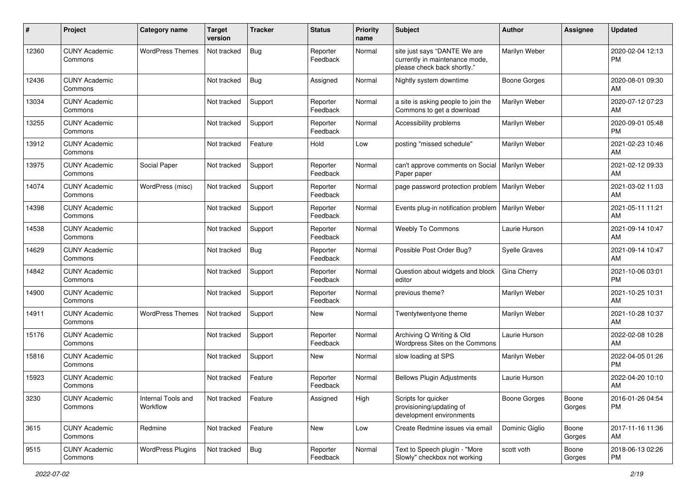| #     | Project                         | <b>Category name</b>           | <b>Target</b><br>version | <b>Tracker</b> | <b>Status</b>        | <b>Priority</b><br>name | <b>Subject</b>                                                                                | <b>Author</b>        | <b>Assignee</b> | <b>Updated</b>                |
|-------|---------------------------------|--------------------------------|--------------------------|----------------|----------------------|-------------------------|-----------------------------------------------------------------------------------------------|----------------------|-----------------|-------------------------------|
| 12360 | <b>CUNY Academic</b><br>Commons | <b>WordPress Themes</b>        | Not tracked              | <b>Bug</b>     | Reporter<br>Feedback | Normal                  | site just says "DANTE We are<br>currently in maintenance mode,<br>please check back shortly." | Marilyn Weber        |                 | 2020-02-04 12:13<br><b>PM</b> |
| 12436 | <b>CUNY Academic</b><br>Commons |                                | Not tracked              | <b>Bug</b>     | Assigned             | Normal                  | Nightly system downtime                                                                       | <b>Boone Gorges</b>  |                 | 2020-08-01 09:30<br>AM.       |
| 13034 | <b>CUNY Academic</b><br>Commons |                                | Not tracked              | Support        | Reporter<br>Feedback | Normal                  | a site is asking people to join the<br>Commons to get a download                              | Marilyn Weber        |                 | 2020-07-12 07:23<br>AM        |
| 13255 | <b>CUNY Academic</b><br>Commons |                                | Not tracked              | Support        | Reporter<br>Feedback | Normal                  | Accessibility problems                                                                        | Marilyn Weber        |                 | 2020-09-01 05:48<br><b>PM</b> |
| 13912 | <b>CUNY Academic</b><br>Commons |                                | Not tracked              | Feature        | Hold                 | Low                     | posting "missed schedule"                                                                     | Marilyn Weber        |                 | 2021-02-23 10:46<br>AM.       |
| 13975 | <b>CUNY Academic</b><br>Commons | Social Paper                   | Not tracked              | Support        | Reporter<br>Feedback | Normal                  | can't approve comments on Social<br>Paper paper                                               | Marilyn Weber        |                 | 2021-02-12 09:33<br>AM        |
| 14074 | <b>CUNY Academic</b><br>Commons | WordPress (misc)               | Not tracked              | Support        | Reporter<br>Feedback | Normal                  | page password protection problem                                                              | Marilyn Weber        |                 | 2021-03-02 11:03<br>AM        |
| 14398 | <b>CUNY Academic</b><br>Commons |                                | Not tracked              | Support        | Reporter<br>Feedback | Normal                  | Events plug-in notification problem                                                           | Marilyn Weber        |                 | 2021-05-11 11:21<br>AM        |
| 14538 | <b>CUNY Academic</b><br>Commons |                                | Not tracked              | Support        | Reporter<br>Feedback | Normal                  | <b>Weebly To Commons</b>                                                                      | Laurie Hurson        |                 | 2021-09-14 10:47<br>AM.       |
| 14629 | <b>CUNY Academic</b><br>Commons |                                | Not tracked              | <b>Bug</b>     | Reporter<br>Feedback | Normal                  | Possible Post Order Bug?                                                                      | <b>Syelle Graves</b> |                 | 2021-09-14 10:47<br>AM        |
| 14842 | <b>CUNY Academic</b><br>Commons |                                | Not tracked              | Support        | Reporter<br>Feedback | Normal                  | Question about widgets and block<br>editor                                                    | Gina Cherry          |                 | 2021-10-06 03:01<br><b>PM</b> |
| 14900 | <b>CUNY Academic</b><br>Commons |                                | Not tracked              | Support        | Reporter<br>Feedback | Normal                  | previous theme?                                                                               | Marilyn Weber        |                 | 2021-10-25 10:31<br>AM        |
| 14911 | <b>CUNY Academic</b><br>Commons | <b>WordPress Themes</b>        | Not tracked              | Support        | <b>New</b>           | Normal                  | Twentytwentyone theme                                                                         | Marilyn Weber        |                 | 2021-10-28 10:37<br>AM        |
| 15176 | <b>CUNY Academic</b><br>Commons |                                | Not tracked              | Support        | Reporter<br>Feedback | Normal                  | Archiving Q Writing & Old<br>Wordpress Sites on the Commons                                   | Laurie Hurson        |                 | 2022-02-08 10:28<br><b>AM</b> |
| 15816 | <b>CUNY Academic</b><br>Commons |                                | Not tracked              | Support        | New                  | Normal                  | slow loading at SPS                                                                           | Marilyn Weber        |                 | 2022-04-05 01:26<br><b>PM</b> |
| 15923 | <b>CUNY Academic</b><br>Commons |                                | Not tracked              | Feature        | Reporter<br>Feedback | Normal                  | <b>Bellows Plugin Adjustments</b>                                                             | Laurie Hurson        |                 | 2022-04-20 10:10<br>AM        |
| 3230  | <b>CUNY Academic</b><br>Commons | Internal Tools and<br>Workflow | Not tracked              | Feature        | Assigned             | High                    | Scripts for quicker<br>provisioning/updating of<br>development environments                   | <b>Boone Gorges</b>  | Boone<br>Gorges | 2016-01-26 04:54<br><b>PM</b> |
| 3615  | <b>CUNY Academic</b><br>Commons | Redmine                        | Not tracked              | Feature        | New                  | Low                     | Create Redmine issues via email                                                               | Dominic Giglio       | Boone<br>Gorges | 2017-11-16 11:36<br>AM        |
| 9515  | <b>CUNY Academic</b><br>Commons | <b>WordPress Plugins</b>       | Not tracked              | <b>Bug</b>     | Reporter<br>Feedback | Normal                  | Text to Speech plugin - "More<br>Slowly" checkbox not working                                 | scott voth           | Boone<br>Gorges | 2018-06-13 02:26<br><b>PM</b> |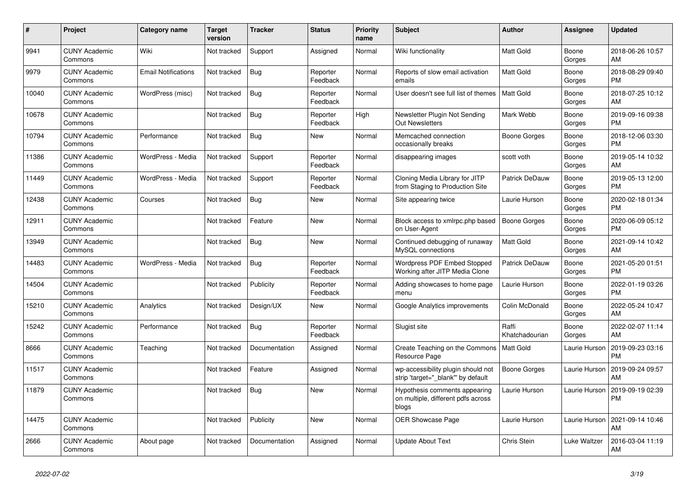| #     | <b>Project</b>                  | Category name              | <b>Target</b><br>version | <b>Tracker</b> | <b>Status</b>        | <b>Priority</b><br>name | <b>Subject</b>                                                               | <b>Author</b>           | Assignee        | <b>Updated</b>                |
|-------|---------------------------------|----------------------------|--------------------------|----------------|----------------------|-------------------------|------------------------------------------------------------------------------|-------------------------|-----------------|-------------------------------|
| 9941  | <b>CUNY Academic</b><br>Commons | Wiki                       | Not tracked              | Support        | Assigned             | Normal                  | Wiki functionality                                                           | <b>Matt Gold</b>        | Boone<br>Gorges | 2018-06-26 10:57<br>AM        |
| 9979  | <b>CUNY Academic</b><br>Commons | <b>Email Notifications</b> | Not tracked              | Bug            | Reporter<br>Feedback | Normal                  | Reports of slow email activation<br>emails                                   | <b>Matt Gold</b>        | Boone<br>Gorges | 2018-08-29 09:40<br><b>PM</b> |
| 10040 | <b>CUNY Academic</b><br>Commons | WordPress (misc)           | Not tracked              | Bug            | Reporter<br>Feedback | Normal                  | User doesn't see full list of themes                                         | <b>Matt Gold</b>        | Boone<br>Gorges | 2018-07-25 10:12<br>AM        |
| 10678 | <b>CUNY Academic</b><br>Commons |                            | Not tracked              | Bug            | Reporter<br>Feedback | High                    | Newsletter Plugin Not Sending<br><b>Out Newsletters</b>                      | Mark Webb               | Boone<br>Gorges | 2019-09-16 09:38<br><b>PM</b> |
| 10794 | <b>CUNY Academic</b><br>Commons | Performance                | Not tracked              | Bug            | <b>New</b>           | Normal                  | Memcached connection<br>occasionally breaks                                  | Boone Gorges            | Boone<br>Gorges | 2018-12-06 03:30<br><b>PM</b> |
| 11386 | <b>CUNY Academic</b><br>Commons | WordPress - Media          | Not tracked              | Support        | Reporter<br>Feedback | Normal                  | disappearing images                                                          | scott voth              | Boone<br>Gorges | 2019-05-14 10:32<br>AM        |
| 11449 | <b>CUNY Academic</b><br>Commons | WordPress - Media          | Not tracked              | Support        | Reporter<br>Feedback | Normal                  | Cloning Media Library for JITP<br>from Staging to Production Site            | <b>Patrick DeDauw</b>   | Boone<br>Gorges | 2019-05-13 12:00<br><b>PM</b> |
| 12438 | <b>CUNY Academic</b><br>Commons | Courses                    | Not tracked              | Bug            | <b>New</b>           | Normal                  | Site appearing twice                                                         | Laurie Hurson           | Boone<br>Gorges | 2020-02-18 01:34<br><b>PM</b> |
| 12911 | <b>CUNY Academic</b><br>Commons |                            | Not tracked              | Feature        | <b>New</b>           | Normal                  | Block access to xmlrpc.php based<br>on User-Agent                            | Boone Gorges            | Boone<br>Gorges | 2020-06-09 05:12<br><b>PM</b> |
| 13949 | <b>CUNY Academic</b><br>Commons |                            | Not tracked              | Bug            | New                  | Normal                  | Continued debugging of runaway<br>MySQL connections                          | <b>Matt Gold</b>        | Boone<br>Gorges | 2021-09-14 10:42<br>AM        |
| 14483 | <b>CUNY Academic</b><br>Commons | WordPress - Media          | Not tracked              | Bug            | Reporter<br>Feedback | Normal                  | Wordpress PDF Embed Stopped<br>Working after JITP Media Clone                | <b>Patrick DeDauw</b>   | Boone<br>Gorges | 2021-05-20 01:51<br><b>PM</b> |
| 14504 | <b>CUNY Academic</b><br>Commons |                            | Not tracked              | Publicity      | Reporter<br>Feedback | Normal                  | Adding showcases to home page<br>menu                                        | Laurie Hurson           | Boone<br>Gorges | 2022-01-19 03:26<br><b>PM</b> |
| 15210 | <b>CUNY Academic</b><br>Commons | Analytics                  | Not tracked              | Design/UX      | New                  | Normal                  | Google Analytics improvements                                                | Colin McDonald          | Boone<br>Gorges | 2022-05-24 10:47<br>AM        |
| 15242 | <b>CUNY Academic</b><br>Commons | Performance                | Not tracked              | Bug            | Reporter<br>Feedback | Normal                  | Slugist site                                                                 | Raffi<br>Khatchadourian | Boone<br>Gorges | 2022-02-07 11:14<br>AM        |
| 8666  | <b>CUNY Academic</b><br>Commons | Teaching                   | Not tracked              | Documentation  | Assigned             | Normal                  | Create Teaching on the Commons<br>Resource Page                              | Matt Gold               | Laurie Hurson   | 2019-09-23 03:16<br><b>PM</b> |
| 11517 | <b>CUNY Academic</b><br>Commons |                            | Not tracked              | Feature        | Assigned             | Normal                  | wp-accessibility plugin should not<br>strip 'target="_blank"' by default     | Boone Gorges            | Laurie Hurson   | 2019-09-24 09:57<br>AM        |
| 11879 | <b>CUNY Academic</b><br>Commons |                            | Not tracked              | <b>Bug</b>     | <b>New</b>           | Normal                  | Hypothesis comments appearing<br>on multiple, different pdfs across<br>blogs | Laurie Hurson           | Laurie Hurson   | 2019-09-19 02:39<br><b>PM</b> |
| 14475 | <b>CUNY Academic</b><br>Commons |                            | Not tracked              | Publicity      | <b>New</b>           | Normal                  | <b>OER Showcase Page</b>                                                     | Laurie Hurson           | Laurie Hurson   | 2021-09-14 10:46<br>AM        |
| 2666  | <b>CUNY Academic</b><br>Commons | About page                 | Not tracked              | Documentation  | Assigned             | Normal                  | <b>Update About Text</b>                                                     | Chris Stein             | Luke Waltzer    | 2016-03-04 11:19<br>AM        |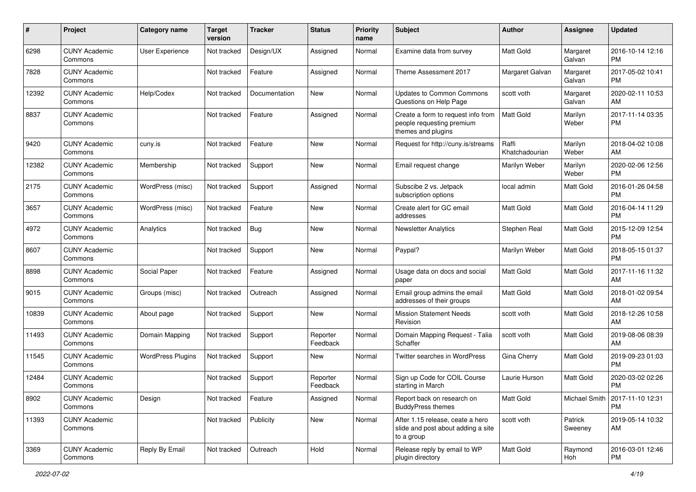| #     | Project                         | <b>Category name</b>     | <b>Target</b><br>version | <b>Tracker</b> | <b>Status</b>        | <b>Priority</b><br>name | Subject                                                                               | Author                  | <b>Assignee</b>    | <b>Updated</b>                         |
|-------|---------------------------------|--------------------------|--------------------------|----------------|----------------------|-------------------------|---------------------------------------------------------------------------------------|-------------------------|--------------------|----------------------------------------|
| 6298  | <b>CUNY Academic</b><br>Commons | <b>User Experience</b>   | Not tracked              | Design/UX      | Assigned             | Normal                  | Examine data from survey                                                              | <b>Matt Gold</b>        | Margaret<br>Galvan | 2016-10-14 12:16<br>PM                 |
| 7828  | <b>CUNY Academic</b><br>Commons |                          | Not tracked              | Feature        | Assigned             | Normal                  | Theme Assessment 2017                                                                 | Margaret Galvan         | Margaret<br>Galvan | 2017-05-02 10:41<br><b>PM</b>          |
| 12392 | <b>CUNY Academic</b><br>Commons | Help/Codex               | Not tracked              | Documentation  | New                  | Normal                  | <b>Updates to Common Commons</b><br>Questions on Help Page                            | scott voth              | Margaret<br>Galvan | 2020-02-11 10:53<br>AM                 |
| 8837  | <b>CUNY Academic</b><br>Commons |                          | Not tracked              | Feature        | Assigned             | Normal                  | Create a form to request info from<br>people requesting premium<br>themes and plugins | Matt Gold               | Marilyn<br>Weber   | 2017-11-14 03:35<br><b>PM</b>          |
| 9420  | <b>CUNY Academic</b><br>Commons | cuny.is                  | Not tracked              | Feature        | New                  | Normal                  | Request for http://cuny.is/streams                                                    | Raffi<br>Khatchadourian | Marilyn<br>Weber   | 2018-04-02 10:08<br>AM                 |
| 12382 | <b>CUNY Academic</b><br>Commons | Membership               | Not tracked              | Support        | New                  | Normal                  | Email request change                                                                  | Marilyn Weber           | Marilyn<br>Weber   | 2020-02-06 12:56<br><b>PM</b>          |
| 2175  | <b>CUNY Academic</b><br>Commons | WordPress (misc)         | Not tracked              | Support        | Assigned             | Normal                  | Subscibe 2 vs. Jetpack<br>subscription options                                        | local admin             | <b>Matt Gold</b>   | 2016-01-26 04:58<br><b>PM</b>          |
| 3657  | <b>CUNY Academic</b><br>Commons | WordPress (misc)         | Not tracked              | Feature        | New                  | Normal                  | Create alert for GC email<br>addresses                                                | Matt Gold               | Matt Gold          | 2016-04-14 11:29<br><b>PM</b>          |
| 4972  | <b>CUNY Academic</b><br>Commons | Analytics                | Not tracked              | Bug            | <b>New</b>           | Normal                  | <b>Newsletter Analytics</b>                                                           | Stephen Real            | <b>Matt Gold</b>   | 2015-12-09 12:54<br><b>PM</b>          |
| 8607  | <b>CUNY Academic</b><br>Commons |                          | Not tracked              | Support        | New                  | Normal                  | Paypal?                                                                               | Marilyn Weber           | <b>Matt Gold</b>   | 2018-05-15 01:37<br><b>PM</b>          |
| 8898  | <b>CUNY Academic</b><br>Commons | Social Paper             | Not tracked              | Feature        | Assigned             | Normal                  | Usage data on docs and social<br>paper                                                | Matt Gold               | Matt Gold          | 2017-11-16 11:32<br>AM                 |
| 9015  | <b>CUNY Academic</b><br>Commons | Groups (misc)            | Not tracked              | Outreach       | Assigned             | Normal                  | Email group admins the email<br>addresses of their groups                             | Matt Gold               | <b>Matt Gold</b>   | 2018-01-02 09:54<br>AM                 |
| 10839 | <b>CUNY Academic</b><br>Commons | About page               | Not tracked              | Support        | New                  | Normal                  | <b>Mission Statement Needs</b><br>Revision                                            | scott voth              | Matt Gold          | 2018-12-26 10:58<br>AM                 |
| 11493 | <b>CUNY Academic</b><br>Commons | Domain Mapping           | Not tracked              | Support        | Reporter<br>Feedback | Normal                  | Domain Mapping Request - Talia<br>Schaffer                                            | scott voth              | Matt Gold          | 2019-08-06 08:39<br>AM                 |
| 11545 | <b>CUNY Academic</b><br>Commons | <b>WordPress Plugins</b> | Not tracked              | Support        | New                  | Normal                  | Twitter searches in WordPress                                                         | Gina Cherry             | Matt Gold          | 2019-09-23 01:03<br><b>PM</b>          |
| 12484 | <b>CUNY Academic</b><br>Commons |                          | Not tracked              | Support        | Reporter<br>Feedback | Normal                  | Sign up Code for COIL Course<br>starting in March                                     | Laurie Hurson           | <b>Matt Gold</b>   | 2020-03-02 02:26<br><b>PM</b>          |
| 8902  | <b>CUNY Academic</b><br>Commons | Design                   | Not tracked              | Feature        | Assigned             | Normal                  | Report back on research on<br><b>BuddyPress themes</b>                                | Matt Gold               |                    | Michael Smith   2017-11-10 12:31<br>PM |
| 11393 | <b>CUNY Academic</b><br>Commons |                          | Not tracked              | Publicity      | New                  | Normal                  | After 1.15 release, ceate a hero<br>slide and post about adding a site<br>to a group  | scott voth              | Patrick<br>Sweeney | 2019-05-14 10:32<br>AM                 |
| 3369  | <b>CUNY Academic</b><br>Commons | Reply By Email           | Not tracked              | Outreach       | Hold                 | Normal                  | Release reply by email to WP<br>plugin directory                                      | Matt Gold               | Raymond<br>Hoh     | 2016-03-01 12:46<br>PM                 |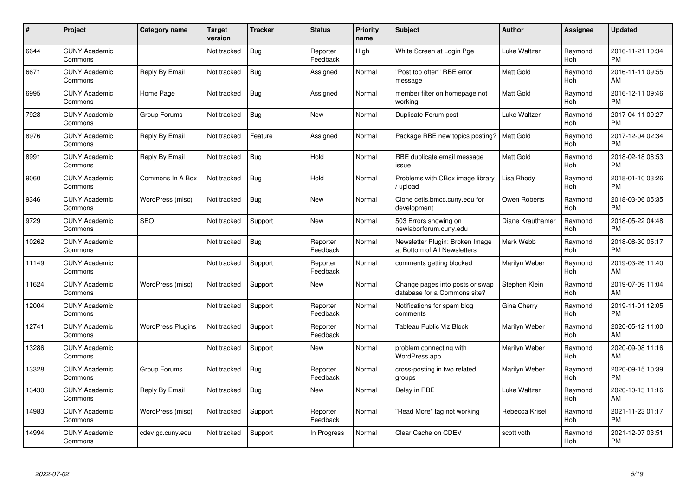| #     | Project                         | Category name            | <b>Target</b><br>version | <b>Tracker</b> | <b>Status</b>        | <b>Priority</b><br>name | <b>Subject</b>                                                  | <b>Author</b>    | <b>Assignee</b> | <b>Updated</b>                |
|-------|---------------------------------|--------------------------|--------------------------|----------------|----------------------|-------------------------|-----------------------------------------------------------------|------------------|-----------------|-------------------------------|
| 6644  | <b>CUNY Academic</b><br>Commons |                          | Not tracked              | Bug            | Reporter<br>Feedback | High                    | White Screen at Login Pge                                       | Luke Waltzer     | Raymond<br>Hoh  | 2016-11-21 10:34<br><b>PM</b> |
| 6671  | <b>CUNY Academic</b><br>Commons | Reply By Email           | Not tracked              | Bug            | Assigned             | Normal                  | "Post too often" RBE error<br>message                           | <b>Matt Gold</b> | Raymond<br>Hoh  | 2016-11-11 09:55<br>AM        |
| 6995  | <b>CUNY Academic</b><br>Commons | Home Page                | Not tracked              | <b>Bug</b>     | Assigned             | Normal                  | member filter on homepage not<br>working                        | <b>Matt Gold</b> | Raymond<br>Hoh  | 2016-12-11 09:46<br><b>PM</b> |
| 7928  | <b>CUNY Academic</b><br>Commons | Group Forums             | Not tracked              | Bug            | <b>New</b>           | Normal                  | Duplicate Forum post                                            | Luke Waltzer     | Raymond<br>Hoh  | 2017-04-11 09:27<br><b>PM</b> |
| 8976  | <b>CUNY Academic</b><br>Commons | Reply By Email           | Not tracked              | Feature        | Assigned             | Normal                  | Package RBE new topics posting?                                 | Matt Gold        | Raymond<br>Hoh  | 2017-12-04 02:34<br><b>PM</b> |
| 8991  | <b>CUNY Academic</b><br>Commons | Reply By Email           | Not tracked              | <b>Bug</b>     | Hold                 | Normal                  | RBE duplicate email message<br>issue                            | <b>Matt Gold</b> | Raymond<br>Hoh  | 2018-02-18 08:53<br><b>PM</b> |
| 9060  | <b>CUNY Academic</b><br>Commons | Commons In A Box         | Not tracked              | Bug            | Hold                 | Normal                  | Problems with CBox image library<br>/ upload                    | Lisa Rhody       | Raymond<br>Hoh  | 2018-01-10 03:26<br><b>PM</b> |
| 9346  | <b>CUNY Academic</b><br>Commons | WordPress (misc)         | Not tracked              | Bug            | New                  | Normal                  | Clone cetls.bmcc.cuny.edu for<br>development                    | Owen Roberts     | Raymond<br>Hoh  | 2018-03-06 05:35<br><b>PM</b> |
| 9729  | <b>CUNY Academic</b><br>Commons | <b>SEO</b>               | Not tracked              | Support        | New                  | Normal                  | 503 Errors showing on<br>newlaborforum.cuny.edu                 | Diane Krauthamer | Raymond<br>Hoh  | 2018-05-22 04:48<br><b>PM</b> |
| 10262 | <b>CUNY Academic</b><br>Commons |                          | Not tracked              | <b>Bug</b>     | Reporter<br>Feedback | Normal                  | Newsletter Plugin: Broken Image<br>at Bottom of All Newsletters | Mark Webb        | Raymond<br>Hoh  | 2018-08-30 05:17<br><b>PM</b> |
| 11149 | <b>CUNY Academic</b><br>Commons |                          | Not tracked              | Support        | Reporter<br>Feedback | Normal                  | comments getting blocked                                        | Marilyn Weber    | Raymond<br>Hoh  | 2019-03-26 11:40<br>AM        |
| 11624 | <b>CUNY Academic</b><br>Commons | WordPress (misc)         | Not tracked              | Support        | New                  | Normal                  | Change pages into posts or swap<br>database for a Commons site? | Stephen Klein    | Raymond<br>Hoh  | 2019-07-09 11:04<br>AM        |
| 12004 | <b>CUNY Academic</b><br>Commons |                          | Not tracked              | Support        | Reporter<br>Feedback | Normal                  | Notifications for spam blog<br>comments                         | Gina Cherry      | Raymond<br>Hoh  | 2019-11-01 12:05<br><b>PM</b> |
| 12741 | <b>CUNY Academic</b><br>Commons | <b>WordPress Plugins</b> | Not tracked              | Support        | Reporter<br>Feedback | Normal                  | Tableau Public Viz Block                                        | Marilyn Weber    | Raymond<br>Hoh  | 2020-05-12 11:00<br>AM        |
| 13286 | <b>CUNY Academic</b><br>Commons |                          | Not tracked              | Support        | <b>New</b>           | Normal                  | problem connecting with<br>WordPress app                        | Marilyn Weber    | Raymond<br>Hoh  | 2020-09-08 11:16<br>AM        |
| 13328 | <b>CUNY Academic</b><br>Commons | Group Forums             | Not tracked              | <b>Bug</b>     | Reporter<br>Feedback | Normal                  | cross-posting in two related<br>groups                          | Marilyn Weber    | Raymond<br>Hoh  | 2020-09-15 10:39<br><b>PM</b> |
| 13430 | <b>CUNY Academic</b><br>Commons | Reply By Email           | Not tracked              | Bug            | New                  | Normal                  | Delay in RBE                                                    | Luke Waltzer     | Raymond<br>Hoh  | 2020-10-13 11:16<br>AM        |
| 14983 | <b>CUNY Academic</b><br>Commons | WordPress (misc)         | Not tracked              | Support        | Reporter<br>Feedback | Normal                  | "Read More" tag not working                                     | Rebecca Krisel   | Raymond<br>Hoh  | 2021-11-23 01:17<br><b>PM</b> |
| 14994 | <b>CUNY Academic</b><br>Commons | cdev.gc.cuny.edu         | Not tracked              | Support        | In Progress          | Normal                  | Clear Cache on CDEV                                             | scott voth       | Raymond<br>Hoh  | 2021-12-07 03:51<br><b>PM</b> |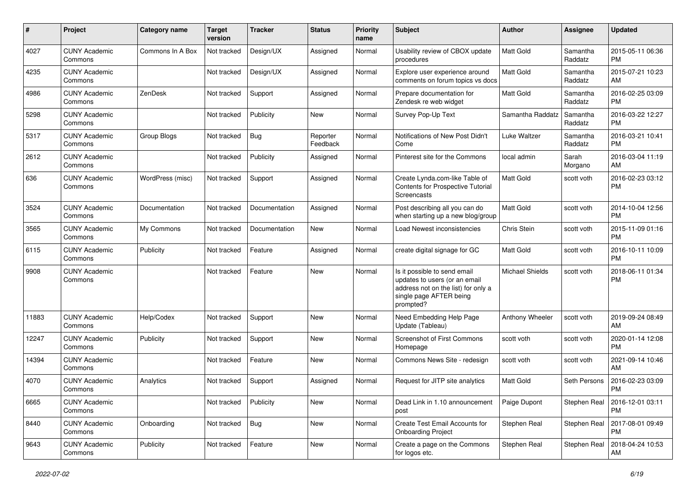| #     | Project                         | <b>Category name</b> | <b>Target</b><br>version | <b>Tracker</b> | <b>Status</b>        | <b>Priority</b><br>name | Subject                                                                                                                                      | Author                 | <b>Assignee</b>     | <b>Updated</b>                |
|-------|---------------------------------|----------------------|--------------------------|----------------|----------------------|-------------------------|----------------------------------------------------------------------------------------------------------------------------------------------|------------------------|---------------------|-------------------------------|
| 4027  | <b>CUNY Academic</b><br>Commons | Commons In A Box     | Not tracked              | Design/UX      | Assigned             | Normal                  | Usability review of CBOX update<br>procedures                                                                                                | <b>Matt Gold</b>       | Samantha<br>Raddatz | 2015-05-11 06:36<br>PM        |
| 4235  | <b>CUNY Academic</b><br>Commons |                      | Not tracked              | Design/UX      | Assigned             | Normal                  | Explore user experience around<br>comments on forum topics vs docs                                                                           | Matt Gold              | Samantha<br>Raddatz | 2015-07-21 10:23<br>AM        |
| 4986  | <b>CUNY Academic</b><br>Commons | ZenDesk              | Not tracked              | Support        | Assigned             | Normal                  | Prepare documentation for<br>Zendesk re web widget                                                                                           | Matt Gold              | Samantha<br>Raddatz | 2016-02-25 03:09<br><b>PM</b> |
| 5298  | <b>CUNY Academic</b><br>Commons |                      | Not tracked              | Publicity      | <b>New</b>           | Normal                  | Survey Pop-Up Text                                                                                                                           | Samantha Raddatz       | Samantha<br>Raddatz | 2016-03-22 12:27<br><b>PM</b> |
| 5317  | <b>CUNY Academic</b><br>Commons | Group Blogs          | Not tracked              | Bug            | Reporter<br>Feedback | Normal                  | Notifications of New Post Didn't<br>Come                                                                                                     | Luke Waltzer           | Samantha<br>Raddatz | 2016-03-21 10:41<br><b>PM</b> |
| 2612  | <b>CUNY Academic</b><br>Commons |                      | Not tracked              | Publicity      | Assigned             | Normal                  | Pinterest site for the Commons                                                                                                               | local admin            | Sarah<br>Morgano    | 2016-03-04 11:19<br>AM        |
| 636   | <b>CUNY Academic</b><br>Commons | WordPress (misc)     | Not tracked              | Support        | Assigned             | Normal                  | Create Lynda.com-like Table of<br>Contents for Prospective Tutorial<br>Screencasts                                                           | Matt Gold              | scott voth          | 2016-02-23 03:12<br><b>PM</b> |
| 3524  | <b>CUNY Academic</b><br>Commons | Documentation        | Not tracked              | Documentation  | Assigned             | Normal                  | Post describing all you can do<br>when starting up a new blog/group                                                                          | Matt Gold              | scott voth          | 2014-10-04 12:56<br><b>PM</b> |
| 3565  | <b>CUNY Academic</b><br>Commons | My Commons           | Not tracked              | Documentation  | New                  | Normal                  | Load Newest inconsistencies                                                                                                                  | Chris Stein            | scott voth          | 2015-11-09 01:16<br><b>PM</b> |
| 6115  | <b>CUNY Academic</b><br>Commons | Publicity            | Not tracked              | Feature        | Assigned             | Normal                  | create digital signage for GC                                                                                                                | Matt Gold              | scott voth          | 2016-10-11 10:09<br><b>PM</b> |
| 9908  | <b>CUNY Academic</b><br>Commons |                      | Not tracked              | Feature        | New                  | Normal                  | Is it possible to send email<br>updates to users (or an email<br>address not on the list) for only a<br>single page AFTER being<br>prompted? | <b>Michael Shields</b> | scott voth          | 2018-06-11 01:34<br><b>PM</b> |
| 11883 | <b>CUNY Academic</b><br>Commons | Help/Codex           | Not tracked              | Support        | New                  | Normal                  | Need Embedding Help Page<br>Update (Tableau)                                                                                                 | Anthony Wheeler        | scott voth          | 2019-09-24 08:49<br>AM        |
| 12247 | <b>CUNY Academic</b><br>Commons | Publicity            | Not tracked              | Support        | New                  | Normal                  | <b>Screenshot of First Commons</b><br>Homepage                                                                                               | scott voth             | scott voth          | 2020-01-14 12:08<br><b>PM</b> |
| 14394 | <b>CUNY Academic</b><br>Commons |                      | Not tracked              | Feature        | New                  | Normal                  | Commons News Site - redesign                                                                                                                 | scott voth             | scott voth          | 2021-09-14 10:46<br>AM        |
| 4070  | <b>CUNY Academic</b><br>Commons | Analytics            | Not tracked              | Support        | Assigned             | Normal                  | Request for JITP site analytics                                                                                                              | Matt Gold              | Seth Persons        | 2016-02-23 03:09<br><b>PM</b> |
| 6665  | <b>CUNY Academic</b><br>Commons |                      | Not tracked              | Publicity      | New                  | Normal                  | Dead Link in 1.10 announcement<br>post                                                                                                       | Paige Dupont           | Stephen Real        | 2016-12-01 03:11<br><b>PM</b> |
| 8440  | <b>CUNY Academic</b><br>Commons | Onboarding           | Not tracked              | <b>Bug</b>     | <b>New</b>           | Normal                  | Create Test Email Accounts for<br><b>Onboarding Project</b>                                                                                  | Stephen Real           | Stephen Real        | 2017-08-01 09:49<br>PM        |
| 9643  | <b>CUNY Academic</b><br>Commons | Publicity            | Not tracked              | Feature        | New                  | Normal                  | Create a page on the Commons<br>for logos etc.                                                                                               | Stephen Real           | Stephen Real        | 2018-04-24 10:53<br>AM        |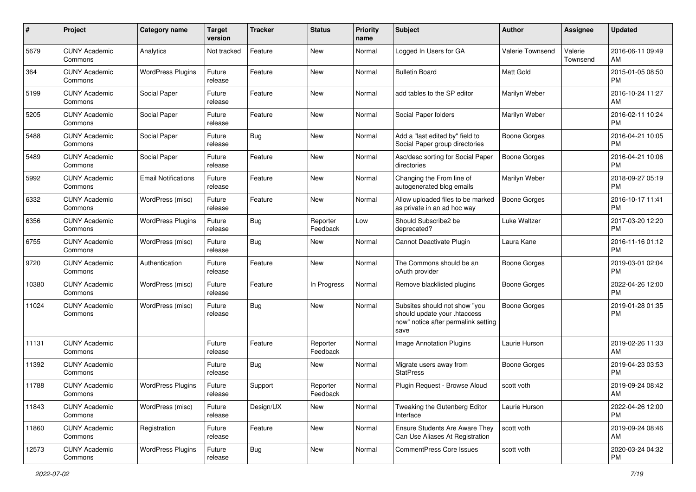| #     | Project                         | <b>Category name</b>       | <b>Target</b><br>version | <b>Tracker</b> | <b>Status</b>        | <b>Priority</b><br>name | <b>Subject</b>                                                                                               | <b>Author</b>       | <b>Assignee</b>     | <b>Updated</b>                |
|-------|---------------------------------|----------------------------|--------------------------|----------------|----------------------|-------------------------|--------------------------------------------------------------------------------------------------------------|---------------------|---------------------|-------------------------------|
| 5679  | <b>CUNY Academic</b><br>Commons | Analytics                  | Not tracked              | Feature        | New                  | Normal                  | Logged In Users for GA                                                                                       | Valerie Townsend    | Valerie<br>Townsend | 2016-06-11 09:49<br>AM        |
| 364   | <b>CUNY Academic</b><br>Commons | <b>WordPress Plugins</b>   | Future<br>release        | Feature        | New                  | Normal                  | <b>Bulletin Board</b>                                                                                        | <b>Matt Gold</b>    |                     | 2015-01-05 08:50<br><b>PM</b> |
| 5199  | <b>CUNY Academic</b><br>Commons | Social Paper               | Future<br>release        | Feature        | New                  | Normal                  | add tables to the SP editor                                                                                  | Marilyn Weber       |                     | 2016-10-24 11:27<br>AM        |
| 5205  | <b>CUNY Academic</b><br>Commons | Social Paper               | Future<br>release        | Feature        | New                  | Normal                  | Social Paper folders                                                                                         | Marilyn Weber       |                     | 2016-02-11 10:24<br><b>PM</b> |
| 5488  | <b>CUNY Academic</b><br>Commons | Social Paper               | Future<br>release        | Bug            | New                  | Normal                  | Add a "last edited by" field to<br>Social Paper group directories                                            | Boone Gorges        |                     | 2016-04-21 10:05<br><b>PM</b> |
| 5489  | <b>CUNY Academic</b><br>Commons | Social Paper               | Future<br>release        | Feature        | New                  | Normal                  | Asc/desc sorting for Social Paper<br>directories                                                             | <b>Boone Gorges</b> |                     | 2016-04-21 10:06<br><b>PM</b> |
| 5992  | <b>CUNY Academic</b><br>Commons | <b>Email Notifications</b> | Future<br>release        | Feature        | New                  | Normal                  | Changing the From line of<br>autogenerated blog emails                                                       | Marilyn Weber       |                     | 2018-09-27 05:19<br><b>PM</b> |
| 6332  | <b>CUNY Academic</b><br>Commons | WordPress (misc)           | Future<br>release        | Feature        | New                  | Normal                  | Allow uploaded files to be marked<br>as private in an ad hoc way                                             | <b>Boone Gorges</b> |                     | 2016-10-17 11:41<br><b>PM</b> |
| 6356  | <b>CUNY Academic</b><br>Commons | <b>WordPress Plugins</b>   | Future<br>release        | <b>Bug</b>     | Reporter<br>Feedback | Low                     | Should Subscribe2 be<br>deprecated?                                                                          | Luke Waltzer        |                     | 2017-03-20 12:20<br><b>PM</b> |
| 6755  | <b>CUNY Academic</b><br>Commons | WordPress (misc)           | Future<br>release        | Bug            | New                  | Normal                  | Cannot Deactivate Plugin                                                                                     | Laura Kane          |                     | 2016-11-16 01:12<br><b>PM</b> |
| 9720  | <b>CUNY Academic</b><br>Commons | Authentication             | Future<br>release        | Feature        | New                  | Normal                  | The Commons should be an<br>oAuth provider                                                                   | Boone Gorges        |                     | 2019-03-01 02:04<br><b>PM</b> |
| 10380 | <b>CUNY Academic</b><br>Commons | WordPress (misc)           | Future<br>release        | Feature        | In Progress          | Normal                  | Remove blacklisted plugins                                                                                   | Boone Gorges        |                     | 2022-04-26 12:00<br><b>PM</b> |
| 11024 | <b>CUNY Academic</b><br>Commons | WordPress (misc)           | Future<br>release        | Bug            | New                  | Normal                  | Subsites should not show "you<br>should update your .htaccess<br>now" notice after permalink setting<br>save | Boone Gorges        |                     | 2019-01-28 01:35<br><b>PM</b> |
| 11131 | <b>CUNY Academic</b><br>Commons |                            | Future<br>release        | Feature        | Reporter<br>Feedback | Normal                  | Image Annotation Plugins                                                                                     | Laurie Hurson       |                     | 2019-02-26 11:33<br>AM        |
| 11392 | <b>CUNY Academic</b><br>Commons |                            | Future<br>release        | Bug            | New                  | Normal                  | Migrate users away from<br><b>StatPress</b>                                                                  | Boone Gorges        |                     | 2019-04-23 03:53<br><b>PM</b> |
| 11788 | <b>CUNY Academic</b><br>Commons | <b>WordPress Plugins</b>   | Future<br>release        | Support        | Reporter<br>Feedback | Normal                  | Plugin Request - Browse Aloud                                                                                | scott voth          |                     | 2019-09-24 08:42<br>AM        |
| 11843 | <b>CUNY Academic</b><br>Commons | WordPress (misc)           | Future<br>release        | Design/UX      | New                  | Normal                  | Tweaking the Gutenberg Editor<br>Interface                                                                   | Laurie Hurson       |                     | 2022-04-26 12:00<br><b>PM</b> |
| 11860 | <b>CUNY Academic</b><br>Commons | Registration               | Future<br>release        | Feature        | New                  | Normal                  | Ensure Students Are Aware They<br>Can Use Aliases At Registration                                            | scott voth          |                     | 2019-09-24 08:46<br>AM        |
| 12573 | <b>CUNY Academic</b><br>Commons | <b>WordPress Plugins</b>   | Future<br>release        | Bug            | New                  | Normal                  | CommentPress Core Issues                                                                                     | scott voth          |                     | 2020-03-24 04:32<br>PM        |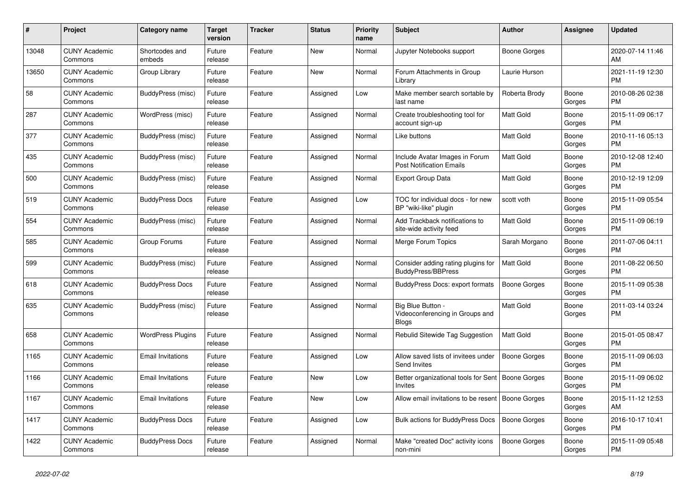| #     | Project                         | <b>Category name</b>     | <b>Target</b><br>version | <b>Tracker</b> | <b>Status</b> | <b>Priority</b><br>name | <b>Subject</b>                                                       | <b>Author</b>       | Assignee        | <b>Updated</b>                |
|-------|---------------------------------|--------------------------|--------------------------|----------------|---------------|-------------------------|----------------------------------------------------------------------|---------------------|-----------------|-------------------------------|
| 13048 | <b>CUNY Academic</b><br>Commons | Shortcodes and<br>embeds | Future<br>release        | Feature        | New           | Normal                  | Jupyter Notebooks support                                            | Boone Gorges        |                 | 2020-07-14 11:46<br>AM        |
| 13650 | <b>CUNY Academic</b><br>Commons | Group Library            | Future<br>release        | Feature        | New           | Normal                  | Forum Attachments in Group<br>Library                                | Laurie Hurson       |                 | 2021-11-19 12:30<br><b>PM</b> |
| 58    | <b>CUNY Academic</b><br>Commons | BuddyPress (misc)        | Future<br>release        | Feature        | Assigned      | Low                     | Make member search sortable by<br>last name                          | Roberta Brody       | Boone<br>Gorges | 2010-08-26 02:38<br><b>PM</b> |
| 287   | <b>CUNY Academic</b><br>Commons | WordPress (misc)         | Future<br>release        | Feature        | Assigned      | Normal                  | Create troubleshooting tool for<br>account sign-up                   | <b>Matt Gold</b>    | Boone<br>Gorges | 2015-11-09 06:17<br><b>PM</b> |
| 377   | <b>CUNY Academic</b><br>Commons | BuddyPress (misc)        | Future<br>release        | Feature        | Assigned      | Normal                  | Like buttons                                                         | Matt Gold           | Boone<br>Gorges | 2010-11-16 05:13<br><b>PM</b> |
| 435   | <b>CUNY Academic</b><br>Commons | BuddyPress (misc)        | Future<br>release        | Feature        | Assigned      | Normal                  | Include Avatar Images in Forum<br><b>Post Notification Emails</b>    | <b>Matt Gold</b>    | Boone<br>Gorges | 2010-12-08 12:40<br><b>PM</b> |
| 500   | <b>CUNY Academic</b><br>Commons | <b>BuddyPress (misc)</b> | Future<br>release        | Feature        | Assigned      | Normal                  | <b>Export Group Data</b>                                             | <b>Matt Gold</b>    | Boone<br>Gorges | 2010-12-19 12:09<br><b>PM</b> |
| 519   | <b>CUNY Academic</b><br>Commons | <b>BuddyPress Docs</b>   | Future<br>release        | Feature        | Assigned      | Low                     | TOC for individual docs - for new<br>BP "wiki-like" plugin           | scott voth          | Boone<br>Gorges | 2015-11-09 05:54<br><b>PM</b> |
| 554   | <b>CUNY Academic</b><br>Commons | BuddyPress (misc)        | Future<br>release        | Feature        | Assigned      | Normal                  | Add Trackback notifications to<br>site-wide activity feed            | Matt Gold           | Boone<br>Gorges | 2015-11-09 06:19<br><b>PM</b> |
| 585   | <b>CUNY Academic</b><br>Commons | Group Forums             | Future<br>release        | Feature        | Assigned      | Normal                  | Merge Forum Topics                                                   | Sarah Morgano       | Boone<br>Gorges | 2011-07-06 04:11<br><b>PM</b> |
| 599   | <b>CUNY Academic</b><br>Commons | BuddyPress (misc)        | Future<br>release        | Feature        | Assigned      | Normal                  | Consider adding rating plugins for<br><b>BuddyPress/BBPress</b>      | <b>Matt Gold</b>    | Boone<br>Gorges | 2011-08-22 06:50<br><b>PM</b> |
| 618   | <b>CUNY Academic</b><br>Commons | <b>BuddyPress Docs</b>   | Future<br>release        | Feature        | Assigned      | Normal                  | BuddyPress Docs: export formats                                      | <b>Boone Gorges</b> | Boone<br>Gorges | 2015-11-09 05:38<br><b>PM</b> |
| 635   | <b>CUNY Academic</b><br>Commons | BuddyPress (misc)        | Future<br>release        | Feature        | Assigned      | Normal                  | Big Blue Button -<br>Videoconferencing in Groups and<br><b>Blogs</b> | <b>Matt Gold</b>    | Boone<br>Gorges | 2011-03-14 03:24<br><b>PM</b> |
| 658   | <b>CUNY Academic</b><br>Commons | <b>WordPress Plugins</b> | Future<br>release        | Feature        | Assigned      | Normal                  | Rebulid Sitewide Tag Suggestion                                      | <b>Matt Gold</b>    | Boone<br>Gorges | 2015-01-05 08:47<br><b>PM</b> |
| 1165  | <b>CUNY Academic</b><br>Commons | <b>Email Invitations</b> | Future<br>release        | Feature        | Assigned      | Low                     | Allow saved lists of invitees under<br>Send Invites                  | <b>Boone Gorges</b> | Boone<br>Gorges | 2015-11-09 06:03<br>PM        |
| 1166  | <b>CUNY Academic</b><br>Commons | <b>Email Invitations</b> | Future<br>release        | Feature        | New           | Low                     | Better organizational tools for Sent   Boone Gorges<br>Invites       |                     | Boone<br>Gorges | 2015-11-09 06:02<br><b>PM</b> |
| 1167  | <b>CUNY Academic</b><br>Commons | <b>Email Invitations</b> | Future<br>release        | Feature        | <b>New</b>    | Low                     | Allow email invitations to be resent                                 | Boone Gorges        | Boone<br>Gorges | 2015-11-12 12:53<br>AM        |
| 1417  | <b>CUNY Academic</b><br>Commons | <b>BuddyPress Docs</b>   | Future<br>release        | Feature        | Assigned      | Low                     | Bulk actions for BuddyPress Docs                                     | <b>Boone Gorges</b> | Boone<br>Gorges | 2016-10-17 10:41<br><b>PM</b> |
| 1422  | <b>CUNY Academic</b><br>Commons | <b>BuddyPress Docs</b>   | Future<br>release        | Feature        | Assigned      | Normal                  | Make "created Doc" activity icons<br>non-mini                        | Boone Gorges        | Boone<br>Gorges | 2015-11-09 05:48<br>PM        |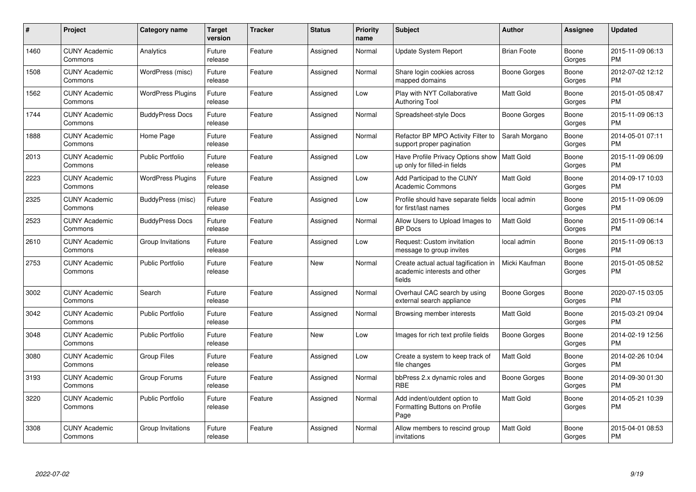| #    | Project                         | <b>Category name</b>     | <b>Target</b><br>version | <b>Tracker</b> | <b>Status</b> | <b>Priority</b><br>name | <b>Subject</b>                                                                 | <b>Author</b>      | Assignee        | <b>Updated</b>                |
|------|---------------------------------|--------------------------|--------------------------|----------------|---------------|-------------------------|--------------------------------------------------------------------------------|--------------------|-----------------|-------------------------------|
| 1460 | <b>CUNY Academic</b><br>Commons | Analytics                | Future<br>release        | Feature        | Assigned      | Normal                  | <b>Update System Report</b>                                                    | <b>Brian Foote</b> | Boone<br>Gorges | 2015-11-09 06:13<br><b>PM</b> |
| 1508 | <b>CUNY Academic</b><br>Commons | WordPress (misc)         | Future<br>release        | Feature        | Assigned      | Normal                  | Share login cookies across<br>mapped domains                                   | Boone Gorges       | Boone<br>Gorges | 2012-07-02 12:12<br><b>PM</b> |
| 1562 | <b>CUNY Academic</b><br>Commons | <b>WordPress Plugins</b> | Future<br>release        | Feature        | Assigned      | Low                     | Play with NYT Collaborative<br><b>Authoring Tool</b>                           | <b>Matt Gold</b>   | Boone<br>Gorges | 2015-01-05 08:47<br><b>PM</b> |
| 1744 | <b>CUNY Academic</b><br>Commons | <b>BuddyPress Docs</b>   | Future<br>release        | Feature        | Assigned      | Normal                  | Spreadsheet-style Docs                                                         | Boone Gorges       | Boone<br>Gorges | 2015-11-09 06:13<br><b>PM</b> |
| 1888 | <b>CUNY Academic</b><br>Commons | Home Page                | Future<br>release        | Feature        | Assigned      | Normal                  | Refactor BP MPO Activity Filter to<br>support proper pagination                | Sarah Morgano      | Boone<br>Gorges | 2014-05-01 07:11<br><b>PM</b> |
| 2013 | <b>CUNY Academic</b><br>Commons | <b>Public Portfolio</b>  | Future<br>release        | Feature        | Assigned      | Low                     | Have Profile Privacy Options show<br>up only for filled-in fields              | Matt Gold          | Boone<br>Gorges | 2015-11-09 06:09<br><b>PM</b> |
| 2223 | <b>CUNY Academic</b><br>Commons | <b>WordPress Plugins</b> | Future<br>release        | Feature        | Assigned      | Low                     | Add Participad to the CUNY<br><b>Academic Commons</b>                          | Matt Gold          | Boone<br>Gorges | 2014-09-17 10:03<br><b>PM</b> |
| 2325 | <b>CUNY Academic</b><br>Commons | BuddyPress (misc)        | Future<br>release        | Feature        | Assigned      | Low                     | Profile should have separate fields<br>for first/last names                    | l local admin      | Boone<br>Gorges | 2015-11-09 06:09<br><b>PM</b> |
| 2523 | <b>CUNY Academic</b><br>Commons | <b>BuddyPress Docs</b>   | Future<br>release        | Feature        | Assigned      | Normal                  | Allow Users to Upload Images to<br><b>BP</b> Docs                              | <b>Matt Gold</b>   | Boone<br>Gorges | 2015-11-09 06:14<br><b>PM</b> |
| 2610 | <b>CUNY Academic</b><br>Commons | Group Invitations        | Future<br>release        | Feature        | Assigned      | Low                     | Request: Custom invitation<br>message to group invites                         | local admin        | Boone<br>Gorges | 2015-11-09 06:13<br><b>PM</b> |
| 2753 | <b>CUNY Academic</b><br>Commons | <b>Public Portfolio</b>  | Future<br>release        | Feature        | New           | Normal                  | Create actual actual tagification in<br>academic interests and other<br>fields | Micki Kaufman      | Boone<br>Gorges | 2015-01-05 08:52<br><b>PM</b> |
| 3002 | <b>CUNY Academic</b><br>Commons | Search                   | Future<br>release        | Feature        | Assigned      | Normal                  | Overhaul CAC search by using<br>external search appliance                      | Boone Gorges       | Boone<br>Gorges | 2020-07-15 03:05<br><b>PM</b> |
| 3042 | <b>CUNY Academic</b><br>Commons | <b>Public Portfolio</b>  | Future<br>release        | Feature        | Assigned      | Normal                  | Browsing member interests                                                      | Matt Gold          | Boone<br>Gorges | 2015-03-21 09:04<br><b>PM</b> |
| 3048 | <b>CUNY Academic</b><br>Commons | <b>Public Portfolio</b>  | Future<br>release        | Feature        | <b>New</b>    | Low                     | Images for rich text profile fields                                            | Boone Gorges       | Boone<br>Gorges | 2014-02-19 12:56<br><b>PM</b> |
| 3080 | <b>CUNY Academic</b><br>Commons | <b>Group Files</b>       | Future<br>release        | Feature        | Assigned      | Low                     | Create a system to keep track of<br>file changes                               | <b>Matt Gold</b>   | Boone<br>Gorges | 2014-02-26 10:04<br><b>PM</b> |
| 3193 | <b>CUNY Academic</b><br>Commons | Group Forums             | Future<br>release        | Feature        | Assigned      | Normal                  | bbPress 2.x dynamic roles and<br><b>RBE</b>                                    | Boone Gorges       | Boone<br>Gorges | 2014-09-30 01:30<br><b>PM</b> |
| 3220 | <b>CUNY Academic</b><br>Commons | <b>Public Portfolio</b>  | Future<br>release        | Feature        | Assigned      | Normal                  | Add indent/outdent option to<br>Formatting Buttons on Profile<br>Page          | Matt Gold          | Boone<br>Gorges | 2014-05-21 10:39<br><b>PM</b> |
| 3308 | CUNY Academic<br>Commons        | Group Invitations        | Future<br>release        | Feature        | Assigned      | Normal                  | Allow members to rescind group<br>invitations                                  | <b>Matt Gold</b>   | Boone<br>Gorges | 2015-04-01 08:53<br>PM        |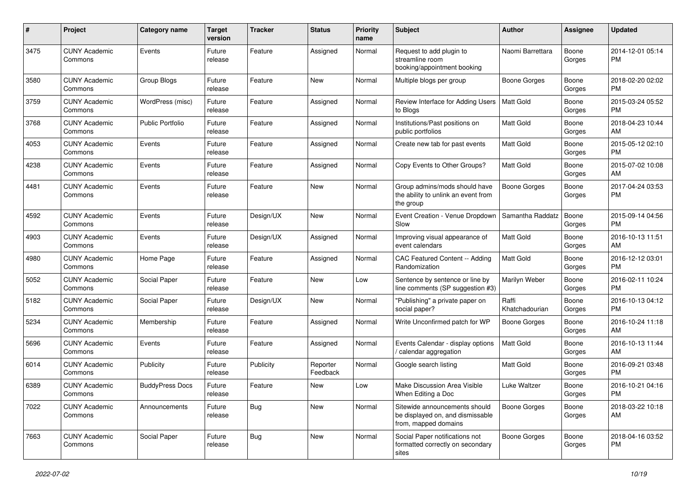| #    | Project                         | <b>Category name</b>    | <b>Target</b><br>version | <b>Tracker</b> | <b>Status</b>        | <b>Priority</b><br>name | <b>Subject</b>                                                                            | <b>Author</b>           | <b>Assignee</b> | <b>Updated</b>                |
|------|---------------------------------|-------------------------|--------------------------|----------------|----------------------|-------------------------|-------------------------------------------------------------------------------------------|-------------------------|-----------------|-------------------------------|
| 3475 | <b>CUNY Academic</b><br>Commons | Events                  | Future<br>release        | Feature        | Assigned             | Normal                  | Request to add plugin to<br>streamline room<br>booking/appointment booking                | Naomi Barrettara        | Boone<br>Gorges | 2014-12-01 05:14<br>PM.       |
| 3580 | <b>CUNY Academic</b><br>Commons | Group Blogs             | Future<br>release        | Feature        | <b>New</b>           | Normal                  | Multiple blogs per group                                                                  | Boone Gorges            | Boone<br>Gorges | 2018-02-20 02:02<br>PM.       |
| 3759 | <b>CUNY Academic</b><br>Commons | WordPress (misc)        | Future<br>release        | Feature        | Assigned             | Normal                  | Review Interface for Adding Users<br>to Blogs                                             | Matt Gold               | Boone<br>Gorges | 2015-03-24 05:52<br><b>PM</b> |
| 3768 | <b>CUNY Academic</b><br>Commons | <b>Public Portfolio</b> | Future<br>release        | Feature        | Assigned             | Normal                  | Institutions/Past positions on<br>public portfolios                                       | Matt Gold               | Boone<br>Gorges | 2018-04-23 10:44<br>AM        |
| 4053 | <b>CUNY Academic</b><br>Commons | Events                  | Future<br>release        | Feature        | Assigned             | Normal                  | Create new tab for past events                                                            | <b>Matt Gold</b>        | Boone<br>Gorges | 2015-05-12 02:10<br><b>PM</b> |
| 4238 | <b>CUNY Academic</b><br>Commons | Events                  | Future<br>release        | Feature        | Assigned             | Normal                  | Copy Events to Other Groups?                                                              | <b>Matt Gold</b>        | Boone<br>Gorges | 2015-07-02 10:08<br>AM        |
| 4481 | <b>CUNY Academic</b><br>Commons | Events                  | Future<br>release        | Feature        | New                  | Normal                  | Group admins/mods should have<br>the ability to unlink an event from<br>the group         | <b>Boone Gorges</b>     | Boone<br>Gorges | 2017-04-24 03:53<br><b>PM</b> |
| 4592 | <b>CUNY Academic</b><br>Commons | Events                  | Future<br>release        | Design/UX      | New                  | Normal                  | Event Creation - Venue Dropdown<br>Slow                                                   | Samantha Raddatz        | Boone<br>Gorges | 2015-09-14 04:56<br><b>PM</b> |
| 4903 | <b>CUNY Academic</b><br>Commons | Events                  | Future<br>release        | Design/UX      | Assigned             | Normal                  | Improving visual appearance of<br>event calendars                                         | Matt Gold               | Boone<br>Gorges | 2016-10-13 11:51<br>AM        |
| 4980 | <b>CUNY Academic</b><br>Commons | Home Page               | Future<br>release        | Feature        | Assigned             | Normal                  | CAC Featured Content -- Adding<br>Randomization                                           | <b>Matt Gold</b>        | Boone<br>Gorges | 2016-12-12 03:01<br>PM.       |
| 5052 | <b>CUNY Academic</b><br>Commons | Social Paper            | Future<br>release        | Feature        | New                  | Low                     | Sentence by sentence or line by<br>line comments (SP suggestion #3)                       | <b>Marilyn Weber</b>    | Boone<br>Gorges | 2016-02-11 10:24<br><b>PM</b> |
| 5182 | <b>CUNY Academic</b><br>Commons | Social Paper            | Future<br>release        | Design/UX      | New                  | Normal                  | "Publishing" a private paper on<br>social paper?                                          | Raffi<br>Khatchadourian | Boone<br>Gorges | 2016-10-13 04:12<br><b>PM</b> |
| 5234 | <b>CUNY Academic</b><br>Commons | Membership              | Future<br>release        | Feature        | Assigned             | Normal                  | Write Unconfirmed patch for WP                                                            | Boone Gorges            | Boone<br>Gorges | 2016-10-24 11:18<br>AM        |
| 5696 | <b>CUNY Academic</b><br>Commons | Events                  | Future<br>release        | Feature        | Assigned             | Normal                  | Events Calendar - display options<br>calendar aggregation                                 | <b>Matt Gold</b>        | Boone<br>Gorges | 2016-10-13 11:44<br>AM        |
| 6014 | <b>CUNY Academic</b><br>Commons | Publicity               | Future<br>release        | Publicity      | Reporter<br>Feedback | Normal                  | Google search listing                                                                     | Matt Gold               | Boone<br>Gorges | 2016-09-21 03:48<br><b>PM</b> |
| 6389 | <b>CUNY Academic</b><br>Commons | <b>BuddyPress Docs</b>  | Future<br>release        | Feature        | New                  | Low                     | Make Discussion Area Visible<br>When Editing a Doc                                        | Luke Waltzer            | Boone<br>Gorges | 2016-10-21 04:16<br>PM        |
| 7022 | <b>CUNY Academic</b><br>Commons | Announcements           | Future<br>release        | Bug            | New                  | Normal                  | Sitewide announcements should<br>be displayed on, and dismissable<br>from, mapped domains | <b>Boone Gorges</b>     | Boone<br>Gorges | 2018-03-22 10:18<br>AM        |
| 7663 | <b>CUNY Academic</b><br>Commons | Social Paper            | Future<br>release        | <b>Bug</b>     | New                  | Normal                  | Social Paper notifications not<br>formatted correctly on secondary<br>sites               | <b>Boone Gorges</b>     | Boone<br>Gorges | 2018-04-16 03:52<br>PM        |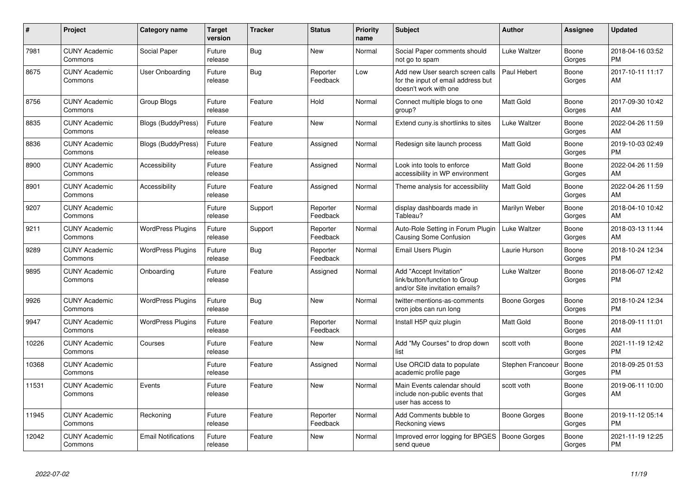| #     | Project                         | <b>Category name</b>       | <b>Target</b><br>version | <b>Tracker</b> | <b>Status</b>        | <b>Priority</b><br>name | <b>Subject</b>                                                                                  | <b>Author</b>     | Assignee        | <b>Updated</b>                |
|-------|---------------------------------|----------------------------|--------------------------|----------------|----------------------|-------------------------|-------------------------------------------------------------------------------------------------|-------------------|-----------------|-------------------------------|
| 7981  | <b>CUNY Academic</b><br>Commons | Social Paper               | Future<br>release        | Bug            | <b>New</b>           | Normal                  | Social Paper comments should<br>not go to spam                                                  | Luke Waltzer      | Boone<br>Gorges | 2018-04-16 03:52<br><b>PM</b> |
| 8675  | <b>CUNY Academic</b><br>Commons | User Onboarding            | Future<br>release        | Bug            | Reporter<br>Feedback | Low                     | Add new User search screen calls<br>for the input of email address but<br>doesn't work with one | Paul Hebert       | Boone<br>Gorges | 2017-10-11 11:17<br>AM        |
| 8756  | <b>CUNY Academic</b><br>Commons | Group Blogs                | Future<br>release        | Feature        | Hold                 | Normal                  | Connect multiple blogs to one<br>group?                                                         | Matt Gold         | Boone<br>Gorges | 2017-09-30 10:42<br>AM        |
| 8835  | <b>CUNY Academic</b><br>Commons | <b>Blogs (BuddyPress)</b>  | Future<br>release        | Feature        | New                  | Normal                  | Extend cuny is shortlinks to sites                                                              | Luke Waltzer      | Boone<br>Gorges | 2022-04-26 11:59<br>AM        |
| 8836  | <b>CUNY Academic</b><br>Commons | Blogs (BuddyPress)         | Future<br>release        | Feature        | Assigned             | Normal                  | Redesign site launch process                                                                    | Matt Gold         | Boone<br>Gorges | 2019-10-03 02:49<br><b>PM</b> |
| 8900  | <b>CUNY Academic</b><br>Commons | Accessibility              | Future<br>release        | Feature        | Assigned             | Normal                  | Look into tools to enforce<br>accessibility in WP environment                                   | <b>Matt Gold</b>  | Boone<br>Gorges | 2022-04-26 11:59<br>AM        |
| 8901  | <b>CUNY Academic</b><br>Commons | Accessibility              | Future<br>release        | Feature        | Assigned             | Normal                  | Theme analysis for accessibility                                                                | <b>Matt Gold</b>  | Boone<br>Gorges | 2022-04-26 11:59<br>AM        |
| 9207  | <b>CUNY Academic</b><br>Commons |                            | Future<br>release        | Support        | Reporter<br>Feedback | Normal                  | display dashboards made in<br>Tableau?                                                          | Marilyn Weber     | Boone<br>Gorges | 2018-04-10 10:42<br>AM        |
| 9211  | <b>CUNY Academic</b><br>Commons | <b>WordPress Plugins</b>   | Future<br>release        | Support        | Reporter<br>Feedback | Normal                  | Auto-Role Setting in Forum Plugin<br>Causing Some Confusion                                     | Luke Waltzer      | Boone<br>Gorges | 2018-03-13 11:44<br>AM        |
| 9289  | <b>CUNY Academic</b><br>Commons | <b>WordPress Plugins</b>   | Future<br>release        | Bug            | Reporter<br>Feedback | Normal                  | Email Users Plugin                                                                              | Laurie Hurson     | Boone<br>Gorges | 2018-10-24 12:34<br><b>PM</b> |
| 9895  | <b>CUNY Academic</b><br>Commons | Onboarding                 | Future<br>release        | Feature        | Assigned             | Normal                  | Add "Accept Invitation"<br>link/button/function to Group<br>and/or Site invitation emails?      | Luke Waltzer      | Boone<br>Gorges | 2018-06-07 12:42<br><b>PM</b> |
| 9926  | <b>CUNY Academic</b><br>Commons | <b>WordPress Plugins</b>   | Future<br>release        | Bug            | New                  | Normal                  | twitter-mentions-as-comments<br>cron jobs can run long                                          | Boone Gorges      | Boone<br>Gorges | 2018-10-24 12:34<br><b>PM</b> |
| 9947  | <b>CUNY Academic</b><br>Commons | <b>WordPress Plugins</b>   | Future<br>release        | Feature        | Reporter<br>Feedback | Normal                  | Install H5P quiz plugin                                                                         | <b>Matt Gold</b>  | Boone<br>Gorges | 2018-09-11 11:01<br>AM        |
| 10226 | <b>CUNY Academic</b><br>Commons | Courses                    | Future<br>release        | Feature        | New                  | Normal                  | Add "My Courses" to drop down<br>list                                                           | scott voth        | Boone<br>Gorges | 2021-11-19 12:42<br><b>PM</b> |
| 10368 | <b>CUNY Academic</b><br>Commons |                            | Future<br>release        | Feature        | Assigned             | Normal                  | Use ORCID data to populate<br>academic profile page                                             | Stephen Francoeur | Boone<br>Gorges | 2018-09-25 01:53<br><b>PM</b> |
| 11531 | <b>CUNY Academic</b><br>Commons | Events                     | Future<br>release        | Feature        | <b>New</b>           | Normal                  | Main Events calendar should<br>include non-public events that<br>user has access to             | scott voth        | Boone<br>Gorges | 2019-06-11 10:00<br>AM        |
| 11945 | <b>CUNY Academic</b><br>Commons | Reckoning                  | Future<br>release        | Feature        | Reporter<br>Feedback | Normal                  | Add Comments bubble to<br>Reckoning views                                                       | Boone Gorges      | Boone<br>Gorges | 2019-11-12 05:14<br><b>PM</b> |
| 12042 | <b>CUNY Academic</b><br>Commons | <b>Email Notifications</b> | Future<br>release        | Feature        | New                  | Normal                  | Improved error logging for BPGES<br>send queue                                                  | Boone Gorges      | Boone<br>Gorges | 2021-11-19 12:25<br><b>PM</b> |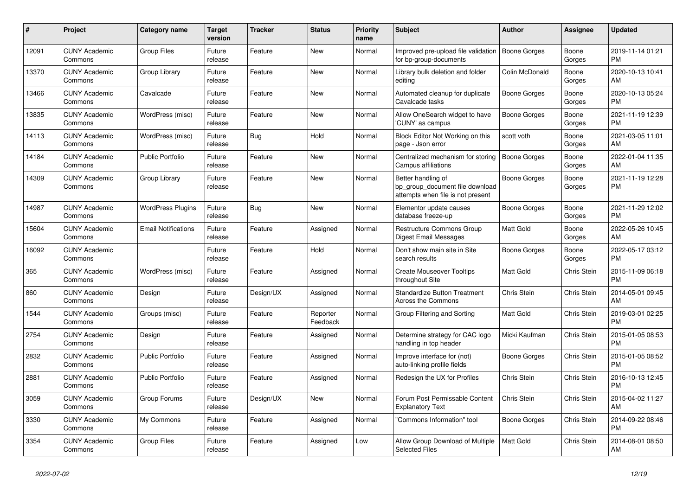| #     | <b>Project</b>                  | Category name              | <b>Target</b><br>version | <b>Tracker</b> | <b>Status</b>        | <b>Priority</b><br>name | <b>Subject</b>                                                                             | <b>Author</b>    | Assignee        | <b>Updated</b>                |
|-------|---------------------------------|----------------------------|--------------------------|----------------|----------------------|-------------------------|--------------------------------------------------------------------------------------------|------------------|-----------------|-------------------------------|
| 12091 | <b>CUNY Academic</b><br>Commons | <b>Group Files</b>         | Future<br>release        | Feature        | <b>New</b>           | Normal                  | Improved pre-upload file validation<br>for bp-group-documents                              | Boone Gorges     | Boone<br>Gorges | 2019-11-14 01:21<br><b>PM</b> |
| 13370 | <b>CUNY Academic</b><br>Commons | Group Library              | Future<br>release        | Feature        | <b>New</b>           | Normal                  | Library bulk deletion and folder<br>editing                                                | Colin McDonald   | Boone<br>Gorges | 2020-10-13 10:41<br>AM.       |
| 13466 | <b>CUNY Academic</b><br>Commons | Cavalcade                  | Future<br>release        | Feature        | New                  | Normal                  | Automated cleanup for duplicate<br>Cavalcade tasks                                         | Boone Gorges     | Boone<br>Gorges | 2020-10-13 05:24<br><b>PM</b> |
| 13835 | <b>CUNY Academic</b><br>Commons | WordPress (misc)           | Future<br>release        | Feature        | New                  | Normal                  | Allow OneSearch widget to have<br>'CUNY' as campus                                         | Boone Gorges     | Boone<br>Gorges | 2021-11-19 12:39<br><b>PM</b> |
| 14113 | <b>CUNY Academic</b><br>Commons | WordPress (misc)           | Future<br>release        | <b>Bug</b>     | Hold                 | Normal                  | Block Editor Not Working on this<br>page - Json error                                      | scott voth       | Boone<br>Gorges | 2021-03-05 11:01<br>AM.       |
| 14184 | <b>CUNY Academic</b><br>Commons | <b>Public Portfolio</b>    | Future<br>release        | Feature        | New                  | Normal                  | Centralized mechanism for storing<br>Campus affiliations                                   | Boone Gorges     | Boone<br>Gorges | 2022-01-04 11:35<br>AM.       |
| 14309 | <b>CUNY Academic</b><br>Commons | Group Library              | Future<br>release        | Feature        | New                  | Normal                  | Better handling of<br>bp_group_document file download<br>attempts when file is not present | Boone Gorges     | Boone<br>Gorges | 2021-11-19 12:28<br><b>PM</b> |
| 14987 | <b>CUNY Academic</b><br>Commons | <b>WordPress Plugins</b>   | Future<br>release        | <b>Bug</b>     | New                  | Normal                  | Elementor update causes<br>database freeze-up                                              | Boone Gorges     | Boone<br>Gorges | 2021-11-29 12:02<br>PM.       |
| 15604 | <b>CUNY Academic</b><br>Commons | <b>Email Notifications</b> | Future<br>release        | Feature        | Assigned             | Normal                  | <b>Restructure Commons Group</b><br><b>Digest Email Messages</b>                           | Matt Gold        | Boone<br>Gorges | 2022-05-26 10:45<br>AM        |
| 16092 | <b>CUNY Academic</b><br>Commons |                            | Future<br>release        | Feature        | Hold                 | Normal                  | Don't show main site in Site<br>search results                                             | Boone Gorges     | Boone<br>Gorges | 2022-05-17 03:12<br><b>PM</b> |
| 365   | <b>CUNY Academic</b><br>Commons | WordPress (misc)           | Future<br>release        | Feature        | Assigned             | Normal                  | <b>Create Mouseover Tooltips</b><br>throughout Site                                        | Matt Gold        | Chris Stein     | 2015-11-09 06:18<br><b>PM</b> |
| 860   | <b>CUNY Academic</b><br>Commons | Design                     | Future<br>release        | Design/UX      | Assigned             | Normal                  | <b>Standardize Button Treatment</b><br><b>Across the Commons</b>                           | Chris Stein      | Chris Stein     | 2014-05-01 09:45<br>AM        |
| 1544  | <b>CUNY Academic</b><br>Commons | Groups (misc)              | Future<br>release        | Feature        | Reporter<br>Feedback | Normal                  | Group Filtering and Sorting                                                                | Matt Gold        | Chris Stein     | 2019-03-01 02:25<br><b>PM</b> |
| 2754  | <b>CUNY Academic</b><br>Commons | Design                     | Future<br>release        | Feature        | Assigned             | Normal                  | Determine strategy for CAC logo<br>handling in top header                                  | Micki Kaufman    | Chris Stein     | 2015-01-05 08:53<br><b>PM</b> |
| 2832  | <b>CUNY Academic</b><br>Commons | <b>Public Portfolio</b>    | Future<br>release        | Feature        | Assigned             | Normal                  | Improve interface for (not)<br>auto-linking profile fields                                 | Boone Gorges     | Chris Stein     | 2015-01-05 08:52<br><b>PM</b> |
| 2881  | <b>CUNY Academic</b><br>Commons | Public Portfolio           | Future<br>release        | Feature        | Assigned             | Normal                  | Redesign the UX for Profiles                                                               | Chris Stein      | Chris Stein     | 2016-10-13 12:45<br><b>PM</b> |
| 3059  | <b>CUNY Academic</b><br>Commons | Group Forums               | Future<br>release        | Design/UX      | New                  | Normal                  | Forum Post Permissable Content<br><b>Explanatory Text</b>                                  | Chris Stein      | Chris Stein     | 2015-04-02 11:27<br>AM        |
| 3330  | <b>CUNY Academic</b><br>Commons | My Commons                 | Future<br>release        | Feature        | Assigned             | Normal                  | "Commons Information" tool                                                                 | Boone Gorges     | Chris Stein     | 2014-09-22 08:46<br>PM        |
| 3354  | <b>CUNY Academic</b><br>Commons | <b>Group Files</b>         | Future<br>release        | Feature        | Assigned             | Low                     | Allow Group Download of Multiple<br><b>Selected Files</b>                                  | <b>Matt Gold</b> | Chris Stein     | 2014-08-01 08:50<br>AM        |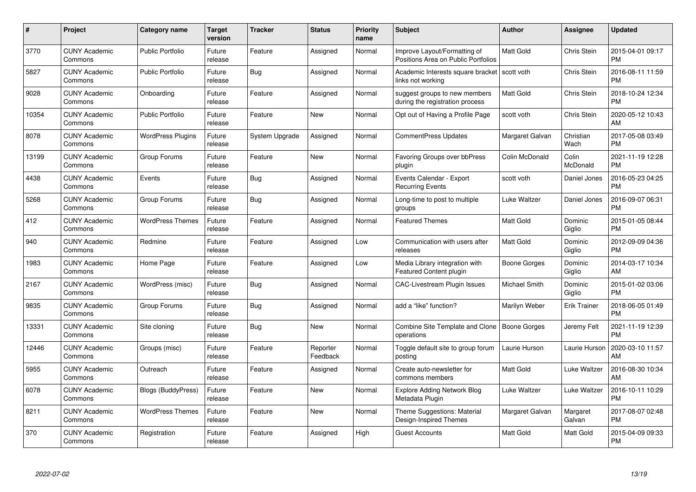| #     | Project                         | <b>Category name</b>      | <b>Target</b><br>version | <b>Tracker</b> | <b>Status</b>        | <b>Priority</b><br>name | <b>Subject</b>                                                      | <b>Author</b>    | Assignee            | <b>Updated</b>                |
|-------|---------------------------------|---------------------------|--------------------------|----------------|----------------------|-------------------------|---------------------------------------------------------------------|------------------|---------------------|-------------------------------|
| 3770  | <b>CUNY Academic</b><br>Commons | <b>Public Portfolio</b>   | Future<br>release        | Feature        | Assigned             | Normal                  | Improve Layout/Formatting of<br>Positions Area on Public Portfolios | <b>Matt Gold</b> | Chris Stein         | 2015-04-01 09:17<br><b>PM</b> |
| 5827  | <b>CUNY Academic</b><br>Commons | <b>Public Portfolio</b>   | Future<br>release        | Bug            | Assigned             | Normal                  | Academic Interests square bracket<br>links not working              | scott voth       | <b>Chris Stein</b>  | 2016-08-11 11:59<br><b>PM</b> |
| 9028  | <b>CUNY Academic</b><br>Commons | Onboarding                | Future<br>release        | Feature        | Assigned             | Normal                  | suggest groups to new members<br>during the registration process    | <b>Matt Gold</b> | Chris Stein         | 2018-10-24 12:34<br><b>PM</b> |
| 10354 | <b>CUNY Academic</b><br>Commons | <b>Public Portfolio</b>   | Future<br>release        | Feature        | New                  | Normal                  | Opt out of Having a Profile Page                                    | scott voth       | Chris Stein         | 2020-05-12 10:43<br>AM        |
| 8078  | <b>CUNY Academic</b><br>Commons | <b>WordPress Plugins</b>  | Future<br>release        | System Upgrade | Assigned             | Normal                  | <b>CommentPress Updates</b>                                         | Margaret Galvan  | Christian<br>Wach   | 2017-05-08 03:49<br><b>PM</b> |
| 13199 | <b>CUNY Academic</b><br>Commons | Group Forums              | Future<br>release        | Feature        | <b>New</b>           | Normal                  | Favoring Groups over bbPress<br>plugin                              | Colin McDonald   | Colin<br>McDonald   | 2021-11-19 12:28<br><b>PM</b> |
| 4438  | <b>CUNY Academic</b><br>Commons | Events                    | Future<br>release        | Bug            | Assigned             | Normal                  | Events Calendar - Export<br><b>Recurring Events</b>                 | scott voth       | Daniel Jones        | 2016-05-23 04:25<br><b>PM</b> |
| 5268  | <b>CUNY Academic</b><br>Commons | Group Forums              | Future<br>release        | <b>Bug</b>     | Assigned             | Normal                  | Long-time to post to multiple<br>groups                             | Luke Waltzer     | Daniel Jones        | 2016-09-07 06:31<br><b>PM</b> |
| 412   | <b>CUNY Academic</b><br>Commons | <b>WordPress Themes</b>   | Future<br>release        | Feature        | Assigned             | Normal                  | <b>Featured Themes</b>                                              | <b>Matt Gold</b> | Dominic<br>Giglio   | 2015-01-05 08:44<br><b>PM</b> |
| 940   | <b>CUNY Academic</b><br>Commons | Redmine                   | Future<br>release        | Feature        | Assigned             | Low                     | Communication with users after<br>releases                          | Matt Gold        | Dominic<br>Giglio   | 2012-09-09 04:36<br><b>PM</b> |
| 1983  | <b>CUNY Academic</b><br>Commons | Home Page                 | Future<br>release        | Feature        | Assigned             | Low                     | Media Library integration with<br><b>Featured Content plugin</b>    | Boone Gorges     | Dominic<br>Giglio   | 2014-03-17 10:34<br>AM        |
| 2167  | <b>CUNY Academic</b><br>Commons | WordPress (misc)          | Future<br>release        | Bug            | Assigned             | Normal                  | <b>CAC-Livestream Plugin Issues</b>                                 | Michael Smith    | Dominic<br>Giglio   | 2015-01-02 03:06<br><b>PM</b> |
| 9835  | <b>CUNY Academic</b><br>Commons | Group Forums              | Future<br>release        | Bug            | Assigned             | Normal                  | add a "like" function?                                              | Marilyn Weber    | <b>Erik Trainer</b> | 2018-06-05 01:49<br><b>PM</b> |
| 13331 | <b>CUNY Academic</b><br>Commons | Site cloning              | Future<br>release        | Bug            | New                  | Normal                  | Combine Site Template and Clone<br>operations                       | Boone Gorges     | Jeremy Felt         | 2021-11-19 12:39<br><b>PM</b> |
| 12446 | <b>CUNY Academic</b><br>Commons | Groups (misc)             | Future<br>release        | Feature        | Reporter<br>Feedback | Normal                  | Toggle default site to group forum<br>posting                       | Laurie Hurson    | Laurie Hurson       | 2020-03-10 11:57<br>AM        |
| 5955  | <b>CUNY Academic</b><br>Commons | Outreach                  | Future<br>release        | Feature        | Assigned             | Normal                  | Create auto-newsletter for<br>commons members                       | Matt Gold        | Luke Waltzer        | 2016-08-30 10:34<br>AM        |
| 6078  | <b>CUNY Academic</b><br>Commons | <b>Blogs (BuddyPress)</b> | Future<br>release        | Feature        | New                  | Normal                  | <b>Explore Adding Network Blog</b><br>Metadata Plugin               | Luke Waltzer     | Luke Waltzer        | 2016-10-11 10:29<br><b>PM</b> |
| 8211  | <b>CUNY Academic</b><br>Commons | <b>WordPress Themes</b>   | Future<br>release        | Feature        | New                  | Normal                  | Theme Suggestions: Material<br>Design-Inspired Themes               | Margaret Galvan  | Margaret<br>Galvan  | 2017-08-07 02:48<br><b>PM</b> |
| 370   | <b>CUNY Academic</b><br>Commons | Registration              | Future<br>release        | Feature        | Assigned             | High                    | <b>Guest Accounts</b>                                               | <b>Matt Gold</b> | Matt Gold           | 2015-04-09 09:33<br><b>PM</b> |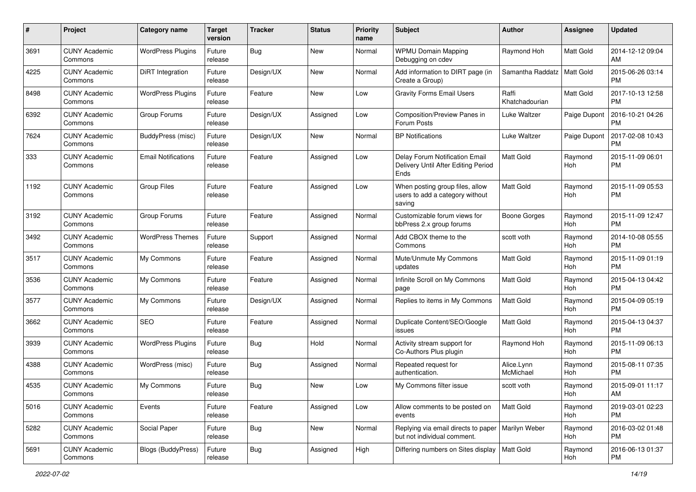| #    | Project                         | <b>Category name</b>       | <b>Target</b><br>version | <b>Tracker</b> | <b>Status</b> | <b>Priority</b><br>name | Subject                                                                       | Author                  | Assignee         | <b>Updated</b>                |
|------|---------------------------------|----------------------------|--------------------------|----------------|---------------|-------------------------|-------------------------------------------------------------------------------|-------------------------|------------------|-------------------------------|
| 3691 | <b>CUNY Academic</b><br>Commons | <b>WordPress Plugins</b>   | Future<br>release        | Bug            | <b>New</b>    | Normal                  | <b>WPMU Domain Mapping</b><br>Debugging on cdev                               | Raymond Hoh             | Matt Gold        | 2014-12-12 09:04<br>AM        |
| 4225 | <b>CUNY Academic</b><br>Commons | <b>DiRT</b> Integration    | Future<br>release        | Design/UX      | New           | Normal                  | Add information to DIRT page (in<br>Create a Group)                           | Samantha Raddatz        | <b>Matt Gold</b> | 2015-06-26 03:14<br><b>PM</b> |
| 8498 | CUNY Academic<br>Commons        | <b>WordPress Plugins</b>   | Future<br>release        | Feature        | New           | Low                     | <b>Gravity Forms Email Users</b>                                              | Raffi<br>Khatchadourian | Matt Gold        | 2017-10-13 12:58<br><b>PM</b> |
| 6392 | <b>CUNY Academic</b><br>Commons | Group Forums               | Future<br>release        | Design/UX      | Assigned      | Low                     | Composition/Preview Panes in<br>Forum Posts                                   | Luke Waltzer            | Paige Dupont     | 2016-10-21 04:26<br><b>PM</b> |
| 7624 | <b>CUNY Academic</b><br>Commons | <b>BuddyPress (misc)</b>   | Future<br>release        | Design/UX      | New           | Normal                  | <b>BP Notifications</b>                                                       | Luke Waltzer            | Paige Dupont     | 2017-02-08 10:43<br><b>PM</b> |
| 333  | <b>CUNY Academic</b><br>Commons | <b>Email Notifications</b> | Future<br>release        | Feature        | Assigned      | Low                     | Delay Forum Notification Email<br>Delivery Until After Editing Period<br>Ends | <b>Matt Gold</b>        | Raymond<br>Hoh   | 2015-11-09 06:01<br><b>PM</b> |
| 1192 | <b>CUNY Academic</b><br>Commons | <b>Group Files</b>         | Future<br>release        | Feature        | Assigned      | Low                     | When posting group files, allow<br>users to add a category without<br>saving  | <b>Matt Gold</b>        | Raymond<br>Hoh   | 2015-11-09 05:53<br><b>PM</b> |
| 3192 | <b>CUNY Academic</b><br>Commons | Group Forums               | Future<br>release        | Feature        | Assigned      | Normal                  | Customizable forum views for<br>bbPress 2.x group forums                      | <b>Boone Gorges</b>     | Raymond<br>Hoh   | 2015-11-09 12:47<br><b>PM</b> |
| 3492 | <b>CUNY Academic</b><br>Commons | <b>WordPress Themes</b>    | Future<br>release        | Support        | Assigned      | Normal                  | Add CBOX theme to the<br>Commons                                              | scott voth              | Raymond<br>Hoh   | 2014-10-08 05:55<br><b>PM</b> |
| 3517 | <b>CUNY Academic</b><br>Commons | My Commons                 | Future<br>release        | Feature        | Assigned      | Normal                  | Mute/Unmute My Commons<br>updates                                             | <b>Matt Gold</b>        | Raymond<br>Hoh   | 2015-11-09 01:19<br><b>PM</b> |
| 3536 | <b>CUNY Academic</b><br>Commons | My Commons                 | Future<br>release        | Feature        | Assigned      | Normal                  | Infinite Scroll on My Commons<br>page                                         | <b>Matt Gold</b>        | Raymond<br>Hoh   | 2015-04-13 04:42<br><b>PM</b> |
| 3577 | <b>CUNY Academic</b><br>Commons | My Commons                 | Future<br>release        | Design/UX      | Assigned      | Normal                  | Replies to items in My Commons                                                | Matt Gold               | Raymond<br>Hoh   | 2015-04-09 05:19<br><b>PM</b> |
| 3662 | <b>CUNY Academic</b><br>Commons | SEO                        | Future<br>release        | Feature        | Assigned      | Normal                  | Duplicate Content/SEO/Google<br>issues                                        | Matt Gold               | Raymond<br>Hoh   | 2015-04-13 04:37<br><b>PM</b> |
| 3939 | <b>CUNY Academic</b><br>Commons | <b>WordPress Plugins</b>   | Future<br>release        | <b>Bug</b>     | Hold          | Normal                  | Activity stream support for<br>Co-Authors Plus plugin                         | Raymond Hoh             | Raymond<br>Hoh   | 2015-11-09 06:13<br><b>PM</b> |
| 4388 | <b>CUNY Academic</b><br>Commons | WordPress (misc)           | Future<br>release        | Bug            | Assigned      | Normal                  | Repeated request for<br>authentication.                                       | Alice.Lynn<br>McMichael | Raymond<br>Hoh   | 2015-08-11 07:35<br><b>PM</b> |
| 4535 | <b>CUNY Academic</b><br>Commons | My Commons                 | Future<br>release        | Bug            | New           | Low                     | My Commons filter issue                                                       | scott voth              | Raymond<br>Hoh   | 2015-09-01 11:17<br>AM        |
| 5016 | <b>CUNY Academic</b><br>Commons | Events                     | Future<br>release        | Feature        | Assigned      | Low                     | Allow comments to be posted on<br>events                                      | <b>Matt Gold</b>        | Raymond<br>Hoh   | 2019-03-01 02:23<br>PM        |
| 5282 | <b>CUNY Academic</b><br>Commons | Social Paper               | Future<br>release        | Bug            | New           | Normal                  | Replying via email directs to paper<br>but not individual comment.            | Marilyn Weber           | Raymond<br>Hoh   | 2016-03-02 01:48<br><b>PM</b> |
| 5691 | <b>CUNY Academic</b><br>Commons | <b>Blogs (BuddyPress)</b>  | Future<br>release        | Bug            | Assigned      | High                    | Differing numbers on Sites display                                            | Matt Gold               | Raymond<br>Hoh   | 2016-06-13 01:37<br><b>PM</b> |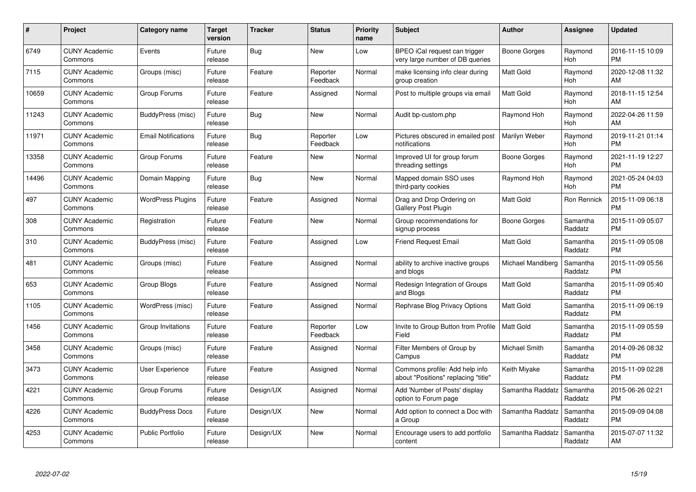| #     | Project                         | <b>Category name</b>       | Target<br>version | <b>Tracker</b> | <b>Status</b>        | <b>Priority</b><br>name | <b>Subject</b>                                                        | <b>Author</b>     | Assignee            | <b>Updated</b>                |
|-------|---------------------------------|----------------------------|-------------------|----------------|----------------------|-------------------------|-----------------------------------------------------------------------|-------------------|---------------------|-------------------------------|
| 6749  | <b>CUNY Academic</b><br>Commons | Events                     | Future<br>release | <b>Bug</b>     | <b>New</b>           | Low                     | BPEO iCal request can trigger<br>very large number of DB queries      | Boone Gorges      | Raymond<br>Hoh      | 2016-11-15 10:09<br><b>PM</b> |
| 7115  | <b>CUNY Academic</b><br>Commons | Groups (misc)              | Future<br>release | Feature        | Reporter<br>Feedback | Normal                  | make licensing info clear during<br>group creation                    | <b>Matt Gold</b>  | Raymond<br>Hoh      | 2020-12-08 11:32<br>AM        |
| 10659 | <b>CUNY Academic</b><br>Commons | Group Forums               | Future<br>release | Feature        | Assigned             | Normal                  | Post to multiple groups via email                                     | <b>Matt Gold</b>  | Raymond<br>Hoh      | 2018-11-15 12:54<br>AM        |
| 11243 | <b>CUNY Academic</b><br>Commons | BuddyPress (misc)          | Future<br>release | Bug            | New                  | Normal                  | Audit bp-custom.php                                                   | Raymond Hoh       | Raymond<br>Hoh      | 2022-04-26 11:59<br>AM        |
| 11971 | <b>CUNY Academic</b><br>Commons | <b>Email Notifications</b> | Future<br>release | Bug            | Reporter<br>Feedback | Low                     | Pictures obscured in emailed post<br>notifications                    | Marilyn Weber     | Raymond<br>Hoh      | 2019-11-21 01:14<br><b>PM</b> |
| 13358 | <b>CUNY Academic</b><br>Commons | Group Forums               | Future<br>release | Feature        | New                  | Normal                  | Improved UI for group forum<br>threading settings                     | Boone Gorges      | Raymond<br>Hoh      | 2021-11-19 12:27<br><b>PM</b> |
| 14496 | <b>CUNY Academic</b><br>Commons | Domain Mapping             | Future<br>release | Bug            | <b>New</b>           | Normal                  | Mapped domain SSO uses<br>third-party cookies                         | Raymond Hoh       | Raymond<br>Hoh      | 2021-05-24 04:03<br><b>PM</b> |
| 497   | <b>CUNY Academic</b><br>Commons | <b>WordPress Plugins</b>   | Future<br>release | Feature        | Assigned             | Normal                  | Drag and Drop Ordering on<br><b>Gallery Post Plugin</b>               | <b>Matt Gold</b>  | Ron Rennick         | 2015-11-09 06:18<br><b>PM</b> |
| 308   | <b>CUNY Academic</b><br>Commons | Registration               | Future<br>release | Feature        | <b>New</b>           | Normal                  | Group recommendations for<br>signup process                           | Boone Gorges      | Samantha<br>Raddatz | 2015-11-09 05:07<br><b>PM</b> |
| 310   | <b>CUNY Academic</b><br>Commons | BuddyPress (misc)          | Future<br>release | Feature        | Assigned             | Low                     | <b>Friend Request Email</b>                                           | <b>Matt Gold</b>  | Samantha<br>Raddatz | 2015-11-09 05:08<br><b>PM</b> |
| 481   | <b>CUNY Academic</b><br>Commons | Groups (misc)              | Future<br>release | Feature        | Assigned             | Normal                  | ability to archive inactive groups<br>and blogs                       | Michael Mandiberg | Samantha<br>Raddatz | 2015-11-09 05:56<br><b>PM</b> |
| 653   | <b>CUNY Academic</b><br>Commons | Group Blogs                | Future<br>release | Feature        | Assigned             | Normal                  | Redesign Integration of Groups<br>and Blogs                           | Matt Gold         | Samantha<br>Raddatz | 2015-11-09 05:40<br><b>PM</b> |
| 1105  | <b>CUNY Academic</b><br>Commons | WordPress (misc)           | Future<br>release | Feature        | Assigned             | Normal                  | Rephrase Blog Privacy Options                                         | Matt Gold         | Samantha<br>Raddatz | 2015-11-09 06:19<br><b>PM</b> |
| 1456  | <b>CUNY Academic</b><br>Commons | Group Invitations          | Future<br>release | Feature        | Reporter<br>Feedback | Low                     | Invite to Group Button from Profile<br>Field                          | <b>Matt Gold</b>  | Samantha<br>Raddatz | 2015-11-09 05:59<br><b>PM</b> |
| 3458  | <b>CUNY Academic</b><br>Commons | Groups (misc)              | Future<br>release | Feature        | Assigned             | Normal                  | Filter Members of Group by<br>Campus                                  | Michael Smith     | Samantha<br>Raddatz | 2014-09-26 08:32<br><b>PM</b> |
| 3473  | <b>CUNY Academic</b><br>Commons | <b>User Experience</b>     | Future<br>release | Feature        | Assigned             | Normal                  | Commons profile: Add help info<br>about "Positions" replacing "title" | Keith Miyake      | Samantha<br>Raddatz | 2015-11-09 02:28<br><b>PM</b> |
| 4221  | <b>CUNY Academic</b><br>Commons | Group Forums               | Future<br>release | Design/UX      | Assigned             | Normal                  | Add 'Number of Posts' display<br>option to Forum page                 | Samantha Raddatz  | Samantha<br>Raddatz | 2015-06-26 02:21<br><b>PM</b> |
| 4226  | <b>CUNY Academic</b><br>Commons | <b>BuddyPress Docs</b>     | Future<br>release | Design/UX      | New                  | Normal                  | Add option to connect a Doc with<br>a Group                           | Samantha Raddatz  | Samantha<br>Raddatz | 2015-09-09 04:08<br><b>PM</b> |
| 4253  | CUNY Academic<br>Commons        | <b>Public Portfolio</b>    | Future<br>release | Design/UX      | <b>New</b>           | Normal                  | Encourage users to add portfolio<br>content                           | Samantha Raddatz  | Samantha<br>Raddatz | 2015-07-07 11:32<br>AM        |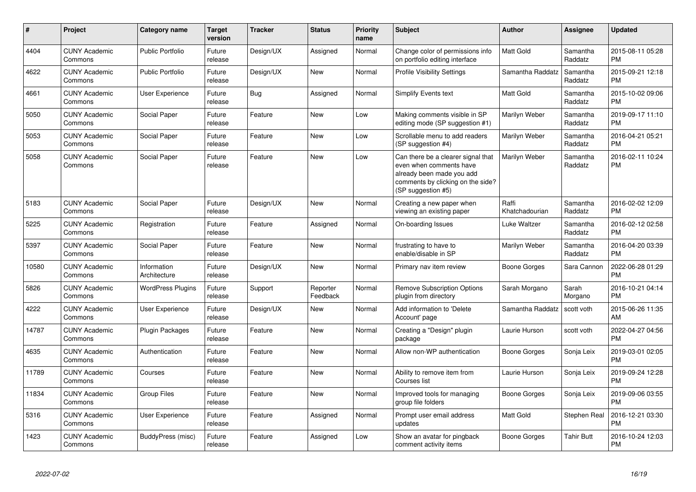| $\pmb{\#}$ | Project                         | <b>Category name</b>        | <b>Target</b><br>version | <b>Tracker</b> | <b>Status</b>        | <b>Priority</b><br>name | Subject                                                                                                                                               | <b>Author</b>           | Assignee            | <b>Updated</b>                |
|------------|---------------------------------|-----------------------------|--------------------------|----------------|----------------------|-------------------------|-------------------------------------------------------------------------------------------------------------------------------------------------------|-------------------------|---------------------|-------------------------------|
| 4404       | <b>CUNY Academic</b><br>Commons | <b>Public Portfolio</b>     | Future<br>release        | Design/UX      | Assigned             | Normal                  | Change color of permissions info<br>on portfolio editing interface                                                                                    | <b>Matt Gold</b>        | Samantha<br>Raddatz | 2015-08-11 05:28<br><b>PM</b> |
| 4622       | <b>CUNY Academic</b><br>Commons | <b>Public Portfolio</b>     | Future<br>release        | Design/UX      | <b>New</b>           | Normal                  | <b>Profile Visibility Settings</b>                                                                                                                    | Samantha Raddatz        | Samantha<br>Raddatz | 2015-09-21 12:18<br><b>PM</b> |
| 4661       | <b>CUNY Academic</b><br>Commons | User Experience             | Future<br>release        | Bug            | Assigned             | Normal                  | Simplify Events text                                                                                                                                  | Matt Gold               | Samantha<br>Raddatz | 2015-10-02 09:06<br><b>PM</b> |
| 5050       | <b>CUNY Academic</b><br>Commons | Social Paper                | Future<br>release        | Feature        | New                  | Low                     | Making comments visible in SP<br>editing mode (SP suggestion #1)                                                                                      | Marilyn Weber           | Samantha<br>Raddatz | 2019-09-17 11:10<br><b>PM</b> |
| 5053       | <b>CUNY Academic</b><br>Commons | Social Paper                | Future<br>release        | Feature        | New                  | Low                     | Scrollable menu to add readers<br>(SP suggestion #4)                                                                                                  | Marilyn Weber           | Samantha<br>Raddatz | 2016-04-21 05:21<br><b>PM</b> |
| 5058       | <b>CUNY Academic</b><br>Commons | Social Paper                | Future<br>release        | Feature        | New                  | Low                     | Can there be a clearer signal that<br>even when comments have<br>already been made you add<br>comments by clicking on the side?<br>(SP suggestion #5) | Marilyn Weber           | Samantha<br>Raddatz | 2016-02-11 10:24<br><b>PM</b> |
| 5183       | <b>CUNY Academic</b><br>Commons | Social Paper                | Future<br>release        | Design/UX      | New                  | Normal                  | Creating a new paper when<br>viewing an existing paper                                                                                                | Raffi<br>Khatchadourian | Samantha<br>Raddatz | 2016-02-02 12:09<br><b>PM</b> |
| 5225       | <b>CUNY Academic</b><br>Commons | Registration                | Future<br>release        | Feature        | Assigned             | Normal                  | On-boarding Issues                                                                                                                                    | Luke Waltzer            | Samantha<br>Raddatz | 2016-02-12 02:58<br><b>PM</b> |
| 5397       | <b>CUNY Academic</b><br>Commons | Social Paper                | Future<br>release        | Feature        | <b>New</b>           | Normal                  | frustrating to have to<br>enable/disable in SP                                                                                                        | Marilyn Weber           | Samantha<br>Raddatz | 2016-04-20 03:39<br><b>PM</b> |
| 10580      | <b>CUNY Academic</b><br>Commons | Information<br>Architecture | Future<br>release        | Design/UX      | <b>New</b>           | Normal                  | Primary nav item review                                                                                                                               | Boone Gorges            | Sara Cannon         | 2022-06-28 01:29<br><b>PM</b> |
| 5826       | <b>CUNY Academic</b><br>Commons | <b>WordPress Plugins</b>    | Future<br>release        | Support        | Reporter<br>Feedback | Normal                  | <b>Remove Subscription Options</b><br>plugin from directory                                                                                           | Sarah Morgano           | Sarah<br>Morgano    | 2016-10-21 04:14<br><b>PM</b> |
| 4222       | <b>CUNY Academic</b><br>Commons | User Experience             | Future<br>release        | Design/UX      | <b>New</b>           | Normal                  | Add information to 'Delete<br>Account' page                                                                                                           | Samantha Raddatz        | scott voth          | 2015-06-26 11:35<br>AM        |
| 14787      | <b>CUNY Academic</b><br>Commons | <b>Plugin Packages</b>      | Future<br>release        | Feature        | <b>New</b>           | Normal                  | Creating a "Design" plugin<br>package                                                                                                                 | Laurie Hurson           | scott voth          | 2022-04-27 04:56<br><b>PM</b> |
| 4635       | <b>CUNY Academic</b><br>Commons | Authentication              | Future<br>release        | Feature        | <b>New</b>           | Normal                  | Allow non-WP authentication                                                                                                                           | Boone Gorges            | Sonja Leix          | 2019-03-01 02:05<br><b>PM</b> |
| 11789      | <b>CUNY Academic</b><br>Commons | Courses                     | Future<br>release        | Feature        | <b>New</b>           | Normal                  | Ability to remove item from<br>Courses list                                                                                                           | Laurie Hurson           | Sonja Leix          | 2019-09-24 12:28<br><b>PM</b> |
| 11834      | <b>CUNY Academic</b><br>Commons | <b>Group Files</b>          | Future<br>release        | Feature        | <b>New</b>           | Normal                  | Improved tools for managing<br>group file folders                                                                                                     | Boone Gorges            | Sonja Leix          | 2019-09-06 03:55<br><b>PM</b> |
| 5316       | <b>CUNY Academic</b><br>Commons | <b>User Experience</b>      | Future<br>release        | Feature        | Assigned             | Normal                  | Prompt user email address<br>updates                                                                                                                  | <b>Matt Gold</b>        | Stephen Real        | 2016-12-21 03:30<br><b>PM</b> |
| 1423       | <b>CUNY Academic</b><br>Commons | BuddyPress (misc)           | Future<br>release        | Feature        | Assigned             | Low                     | Show an avatar for pingback<br>comment activity items                                                                                                 | Boone Gorges            | <b>Tahir Butt</b>   | 2016-10-24 12:03<br><b>PM</b> |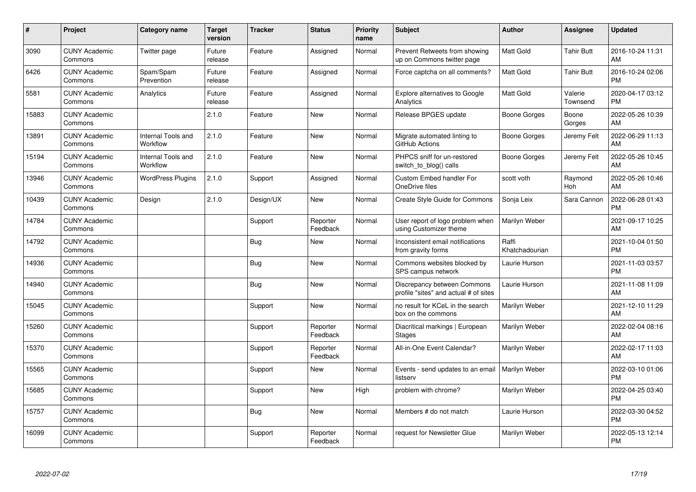| #     | Project                         | Category name                         | <b>Target</b><br>version | <b>Tracker</b> | <b>Status</b>        | <b>Priority</b><br>name | <b>Subject</b>                                                       | Author                  | <b>Assignee</b>     | <b>Updated</b>                |
|-------|---------------------------------|---------------------------------------|--------------------------|----------------|----------------------|-------------------------|----------------------------------------------------------------------|-------------------------|---------------------|-------------------------------|
| 3090  | <b>CUNY Academic</b><br>Commons | Twitter page                          | Future<br>release        | Feature        | Assigned             | Normal                  | Prevent Retweets from showing<br>up on Commons twitter page          | <b>Matt Gold</b>        | <b>Tahir Butt</b>   | 2016-10-24 11:31<br>AM        |
| 6426  | <b>CUNY Academic</b><br>Commons | Spam/Spam<br>Prevention               | Future<br>release        | Feature        | Assigned             | Normal                  | Force captcha on all comments?                                       | <b>Matt Gold</b>        | Tahir Butt          | 2016-10-24 02:06<br><b>PM</b> |
| 5581  | <b>CUNY Academic</b><br>Commons | Analytics                             | Future<br>release        | Feature        | Assigned             | Normal                  | Explore alternatives to Google<br>Analytics                          | Matt Gold               | Valerie<br>Townsend | 2020-04-17 03:12<br><b>PM</b> |
| 15883 | <b>CUNY Academic</b><br>Commons |                                       | 2.1.0                    | Feature        | <b>New</b>           | Normal                  | Release BPGES update                                                 | Boone Gorges            | Boone<br>Gorges     | 2022-05-26 10:39<br>AM        |
| 13891 | <b>CUNY Academic</b><br>Commons | <b>Internal Tools and</b><br>Workflow | 2.1.0                    | Feature        | <b>New</b>           | Normal                  | Migrate automated linting to<br>GitHub Actions                       | Boone Gorges            | Jeremy Felt         | 2022-06-29 11:13<br>AM        |
| 15194 | <b>CUNY Academic</b><br>Commons | Internal Tools and<br>Workflow        | 2.1.0                    | Feature        | <b>New</b>           | Normal                  | PHPCS sniff for un-restored<br>switch to blog() calls                | Boone Gorges            | Jeremy Felt         | 2022-05-26 10:45<br>AM        |
| 13946 | <b>CUNY Academic</b><br>Commons | <b>WordPress Plugins</b>              | 2.1.0                    | Support        | Assigned             | Normal                  | Custom Embed handler For<br>OneDrive files                           | scott voth              | Raymond<br>Hoh      | 2022-05-26 10:46<br>AM        |
| 10439 | <b>CUNY Academic</b><br>Commons | Design                                | 2.1.0                    | Design/UX      | <b>New</b>           | Normal                  | Create Style Guide for Commons                                       | Sonja Leix              | Sara Cannon         | 2022-06-28 01:43<br><b>PM</b> |
| 14784 | <b>CUNY Academic</b><br>Commons |                                       |                          | Support        | Reporter<br>Feedback | Normal                  | User report of logo problem when<br>using Customizer theme           | Marilyn Weber           |                     | 2021-09-17 10:25<br>AM        |
| 14792 | <b>CUNY Academic</b><br>Commons |                                       |                          | <b>Bug</b>     | <b>New</b>           | Normal                  | Inconsistent email notifications<br>from gravity forms               | Raffi<br>Khatchadourian |                     | 2021-10-04 01:50<br><b>PM</b> |
| 14936 | <b>CUNY Academic</b><br>Commons |                                       |                          | Bug            | <b>New</b>           | Normal                  | Commons websites blocked by<br>SPS campus network                    | Laurie Hurson           |                     | 2021-11-03 03:57<br><b>PM</b> |
| 14940 | <b>CUNY Academic</b><br>Commons |                                       |                          | <b>Bug</b>     | <b>New</b>           | Normal                  | Discrepancy between Commons<br>profile "sites" and actual # of sites | Laurie Hurson           |                     | 2021-11-08 11:09<br>AM        |
| 15045 | <b>CUNY Academic</b><br>Commons |                                       |                          | Support        | <b>New</b>           | Normal                  | no result for KCeL in the search<br>box on the commons               | Marilyn Weber           |                     | 2021-12-10 11:29<br>AM        |
| 15260 | <b>CUNY Academic</b><br>Commons |                                       |                          | Support        | Reporter<br>Feedback | Normal                  | Diacritical markings   European<br><b>Stages</b>                     | Marilyn Weber           |                     | 2022-02-04 08:16<br>AM        |
| 15370 | <b>CUNY Academic</b><br>Commons |                                       |                          | Support        | Reporter<br>Feedback | Normal                  | All-in-One Event Calendar?                                           | Marilyn Weber           |                     | 2022-02-17 11:03<br>AM        |
| 15565 | <b>CUNY Academic</b><br>Commons |                                       |                          | Support        | <b>New</b>           | Normal                  | Events - send updates to an email<br>listserv                        | Marilyn Weber           |                     | 2022-03-10 01:06<br><b>PM</b> |
| 15685 | <b>CUNY Academic</b><br>Commons |                                       |                          | Support        | <b>New</b>           | High                    | problem with chrome?                                                 | Marilyn Weber           |                     | 2022-04-25 03:40<br><b>PM</b> |
| 15757 | <b>CUNY Academic</b><br>Commons |                                       |                          | Bug            | <b>New</b>           | Normal                  | Members # do not match                                               | Laurie Hurson           |                     | 2022-03-30 04:52<br><b>PM</b> |
| 16099 | <b>CUNY Academic</b><br>Commons |                                       |                          | Support        | Reporter<br>Feedback | Normal                  | request for Newsletter Glue                                          | Marilyn Weber           |                     | 2022-05-13 12:14<br><b>PM</b> |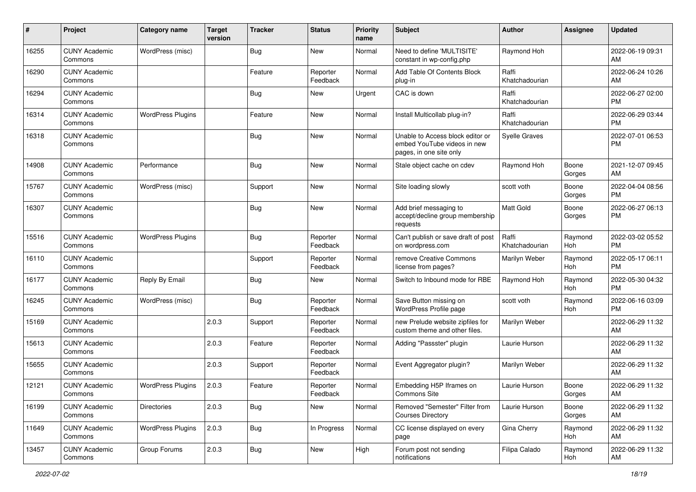| #     | Project                         | <b>Category name</b>     | <b>Target</b><br>version | <b>Tracker</b> | <b>Status</b>        | <b>Priority</b><br>name | <b>Subject</b>                                                                             | <b>Author</b>           | <b>Assignee</b> | <b>Updated</b>                |
|-------|---------------------------------|--------------------------|--------------------------|----------------|----------------------|-------------------------|--------------------------------------------------------------------------------------------|-------------------------|-----------------|-------------------------------|
| 16255 | <b>CUNY Academic</b><br>Commons | WordPress (misc)         |                          | <b>Bug</b>     | <b>New</b>           | Normal                  | Need to define 'MULTISITE'<br>constant in wp-config.php                                    | Raymond Hoh             |                 | 2022-06-19 09:31<br>AM.       |
| 16290 | <b>CUNY Academic</b><br>Commons |                          |                          | Feature        | Reporter<br>Feedback | Normal                  | Add Table Of Contents Block<br>plug-in                                                     | Raffi<br>Khatchadourian |                 | 2022-06-24 10:26<br><b>AM</b> |
| 16294 | <b>CUNY Academic</b><br>Commons |                          |                          | <b>Bug</b>     | New                  | Urgent                  | CAC is down                                                                                | Raffi<br>Khatchadourian |                 | 2022-06-27 02:00<br><b>PM</b> |
| 16314 | <b>CUNY Academic</b><br>Commons | <b>WordPress Plugins</b> |                          | Feature        | New                  | Normal                  | Install Multicollab plug-in?                                                               | Raffi<br>Khatchadourian |                 | 2022-06-29 03:44<br><b>PM</b> |
| 16318 | <b>CUNY Academic</b><br>Commons |                          |                          | Bug            | New                  | Normal                  | Unable to Access block editor or<br>embed YouTube videos in new<br>pages, in one site only | <b>Syelle Graves</b>    |                 | 2022-07-01 06:53<br><b>PM</b> |
| 14908 | <b>CUNY Academic</b><br>Commons | Performance              |                          | Bug            | New                  | Normal                  | Stale object cache on cdev                                                                 | Raymond Hoh             | Boone<br>Gorges | 2021-12-07 09:45<br>AM        |
| 15767 | <b>CUNY Academic</b><br>Commons | WordPress (misc)         |                          | Support        | New                  | Normal                  | Site loading slowly                                                                        | scott voth              | Boone<br>Gorges | 2022-04-04 08:56<br><b>PM</b> |
| 16307 | <b>CUNY Academic</b><br>Commons |                          |                          | Bug            | New                  | Normal                  | Add brief messaging to<br>accept/decline group membership<br>requests                      | Matt Gold               | Boone<br>Gorges | 2022-06-27 06:13<br><b>PM</b> |
| 15516 | <b>CUNY Academic</b><br>Commons | <b>WordPress Plugins</b> |                          | Bug            | Reporter<br>Feedback | Normal                  | Can't publish or save draft of post<br>on wordpress.com                                    | Raffi<br>Khatchadourian | Raymond<br>Hoh  | 2022-03-02 05:52<br><b>PM</b> |
| 16110 | <b>CUNY Academic</b><br>Commons |                          |                          | Support        | Reporter<br>Feedback | Normal                  | remove Creative Commons<br>license from pages?                                             | Marilyn Weber           | Raymond<br>Hoh  | 2022-05-17 06:11<br><b>PM</b> |
| 16177 | <b>CUNY Academic</b><br>Commons | Reply By Email           |                          | <b>Bug</b>     | New                  | Normal                  | Switch to Inbound mode for RBE                                                             | Raymond Hoh             | Raymond<br>Hoh  | 2022-05-30 04:32<br><b>PM</b> |
| 16245 | <b>CUNY Academic</b><br>Commons | WordPress (misc)         |                          | <b>Bug</b>     | Reporter<br>Feedback | Normal                  | Save Button missing on<br>WordPress Profile page                                           | scott voth              | Raymond<br>Hoh  | 2022-06-16 03:09<br><b>PM</b> |
| 15169 | <b>CUNY Academic</b><br>Commons |                          | 2.0.3                    | Support        | Reporter<br>Feedback | Normal                  | new Prelude website zipfiles for<br>custom theme and other files.                          | Marilyn Weber           |                 | 2022-06-29 11:32<br>AM        |
| 15613 | <b>CUNY Academic</b><br>Commons |                          | 2.0.3                    | Feature        | Reporter<br>Feedback | Normal                  | Adding "Passster" plugin                                                                   | Laurie Hurson           |                 | 2022-06-29 11:32<br>AM        |
| 15655 | <b>CUNY Academic</b><br>Commons |                          | 2.0.3                    | Support        | Reporter<br>Feedback | Normal                  | Event Aggregator plugin?                                                                   | Marilyn Weber           |                 | 2022-06-29 11:32<br>AM        |
| 12121 | <b>CUNY Academic</b><br>Commons | <b>WordPress Plugins</b> | 2.0.3                    | Feature        | Reporter<br>Feedback | Normal                  | Embedding H5P Iframes on<br>Commons Site                                                   | Laurie Hurson           | Boone<br>Gorges | 2022-06-29 11:32<br>AM        |
| 16199 | <b>CUNY Academic</b><br>Commons | Directories              | 2.0.3                    | <b>Bug</b>     | New                  | Normal                  | Removed "Semester" Filter from<br><b>Courses Directory</b>                                 | Laurie Hurson           | Boone<br>Gorges | 2022-06-29 11:32<br>AM        |
| 11649 | <b>CUNY Academic</b><br>Commons | <b>WordPress Plugins</b> | 2.0.3                    | <b>Bug</b>     | In Progress          | Normal                  | CC license displayed on every<br>page                                                      | Gina Cherry             | Raymond<br>Hoh  | 2022-06-29 11:32<br>AM        |
| 13457 | <b>CUNY Academic</b><br>Commons | Group Forums             | 2.0.3                    | <b>Bug</b>     | New                  | High                    | Forum post not sending<br>notifications                                                    | Filipa Calado           | Raymond<br>Hoh  | 2022-06-29 11:32<br>AM        |